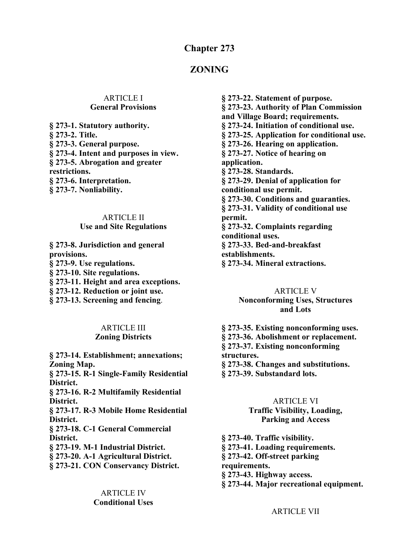## **Chapter 273**

## **ZONING**

#### ARTICLE I **General Provisions**

**§ 273-1. Statutory authority. § 273-2. Title. § 273-3. General purpose. § 273-4. Intent and purposes in view. § 273-5. Abrogation and greater restrictions. § 273-6. Interpretation. § 273-7. Nonliability.**

#### ARTICLE II

#### **Use and Site Regulations**

**§ 273-8. Jurisdiction and general provisions. § 273-9. Use regulations. § 273-10. Site regulations. § 273-11. Height and area exceptions. § 273-12. Reduction or joint use. § 273-13. Screening and fencing**.

#### ARTICLE III **Zoning Districts**

**§ 273-14. Establishment; annexations; Zoning Map. § 273-15. R-1 Single-Family Residential District. § 273-16. R-2 Multifamily Residential District. § 273-17. R-3 Mobile Home Residential District. § 273-18. C-1 General Commercial District. § 273-19. M-1 Industrial District. § 273-20. A-1 Agricultural District. § 273-21. CON Conservancy District.**

> ARTICLE IV **Conditional Uses**

**§ 273-22. Statement of purpose. § 273-23. Authority of Plan Commission and Village Board; requirements. § 273-24. Initiation of conditional use. § 273-25. Application for conditional use. § 273-26. Hearing on application. § 273-27. Notice of hearing on application. § 273-28. Standards. § 273-29. Denial of application for conditional use permit. § 273-30. Conditions and guaranties. § 273-31. Validity of conditional use permit. § 273-32. Complaints regarding conditional uses. § 273-33. Bed-and-breakfast establishments. § 273-34. Mineral extractions.**

#### ARTICLE V **Nonconforming Uses, Structures and Lots**

**§ 273-35. Existing nonconforming uses. § 273-36. Abolishment or replacement. § 273-37. Existing nonconforming structures. § 273-38. Changes and substitutions. § 273-39. Substandard lots.**

#### ARTICLE VI

**Traffic Visibility, Loading, Parking and Access**

**§ 273-40. Traffic visibility. § 273-41. Loading requirements. § 273-42. Off-street parking requirements. § 273-43. Highway access.**

**§ 273-44. Major recreational equipment.**

ARTICLE VII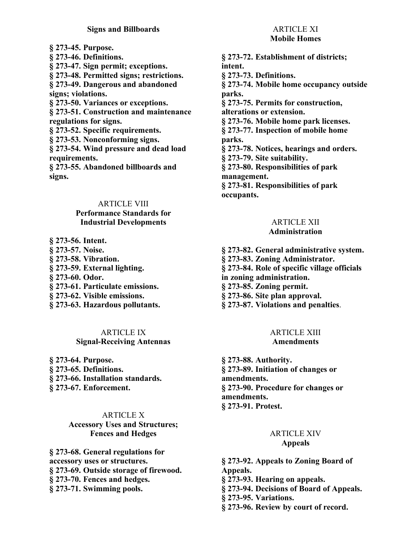#### **Signs and Billboards**

**§ 273-45. Purpose. § 273-46. Definitions. § 273-47. Sign permit; exceptions. § 273-48. Permitted signs; restrictions. § 273-49. Dangerous and abandoned signs; violations. § 273-50. Variances or exceptions. § 273-51. Construction and maintenance regulations for signs. § 273-52. Specific requirements. § 273-53. Nonconforming signs. § 273-54. Wind pressure and dead load requirements. § 273-55. Abandoned billboards and signs.**

#### ARTICLE VIII

#### **Performance Standards for Industrial Developments**

**§ 273-56. Intent. § 273-57. Noise. § 273-58. Vibration. § 273-59. External lighting. § 273-60. Odor. § 273-61. Particulate emissions. § 273-62. Visible emissions. § 273-63. Hazardous pollutants.**

#### ARTICLE IX **Signal-Receiving Antennas**

**§ 273-64. Purpose. § 273-65. Definitions. § 273-66. Installation standards.**

**§ 273-67. Enforcement.**

#### ARTICLE X

**Accessory Uses and Structures; Fences and Hedges**

**§ 273-68. General regulations for accessory uses or structures. § 273-69. Outside storage of firewood. § 273-70. Fences and hedges. § 273-71. Swimming pools.**

# ARTICLE XI

#### **Mobile Homes**

**§ 273-72. Establishment of districts; intent. § 273-73. Definitions. § 273-74. Mobile home occupancy outside parks. § 273-75. Permits for construction, alterations or extension. § 273-76. Mobile home park licenses. § 273-77. Inspection of mobile home parks. § 273-78. Notices, hearings and orders. § 273-79. Site suitability. § 273-80. Responsibilities of park management. § 273-81. Responsibilities of park occupants.**

# ARTICLE XII

## **Administration**

- **§ 273-82. General administrative system.**
- **§ 273-83. Zoning Administrator.**
- **§ 273-84. Role of specific village officials**
- **in zoning administration.**
- **§ 273-85. Zoning permit.**
- **§ 273-86. Site plan approval.**
- **§ 273-87. Violations and penalties**.

#### ARTICLE XIII **Amendments**

**§ 273-88. Authority. § 273-89. Initiation of changes or amendments. § 273-90. Procedure for changes or amendments. § 273-91. Protest.**

#### ARTICLE XIV **Appeals**

**§ 273-92. Appeals to Zoning Board of Appeals. § 273-93. Hearing on appeals. § 273-94. Decisions of Board of Appeals. § 273-95. Variations.**

**§ 273-96. Review by court of record.**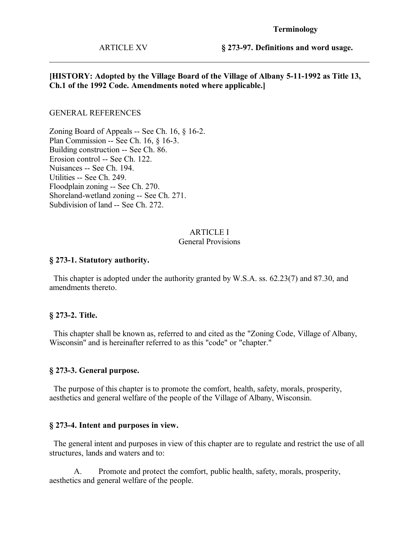#### **Terminology**

ARTICLE XV

**§ 273-97. Definitions and word usage.**

#### **[HISTORY: Adopted by the Village Board of the Village of Albany 5-11-1992 as Title 13, Ch.1 of the 1992 Code. Amendments noted where applicable.]**

#### GENERAL REFERENCES

Zoning Board of Appeals -- See Ch. 16, § 16-2. Plan Commission -- See Ch. 16, § 16-3. Building construction -- See Ch. 86. Erosion control -- See Ch. 122. Nuisances -- See Ch. 194. Utilities -- See Ch. 249. Floodplain zoning -- See Ch. 270. Shoreland-wetland zoning -- See Ch. 271. Subdivision of land -- See Ch. 272.

#### ARTICLE I

#### General Provisions

#### **§ 273-1. Statutory authority.**

 This chapter is adopted under the authority granted by W.S.A. ss. 62.23(7) and 87.30, and amendments thereto.

#### **§ 273-2. Title.**

 This chapter shall be known as, referred to and cited as the "Zoning Code, Village of Albany, Wisconsin" and is hereinafter referred to as this "code" or "chapter."

#### **§ 273-3. General purpose.**

 The purpose of this chapter is to promote the comfort, health, safety, morals, prosperity, aesthetics and general welfare of the people of the Village of Albany, Wisconsin.

#### **§ 273-4. Intent and purposes in view.**

 The general intent and purposes in view of this chapter are to regulate and restrict the use of all structures, lands and waters and to:

A. Promote and protect the comfort, public health, safety, morals, prosperity, aesthetics and general welfare of the people.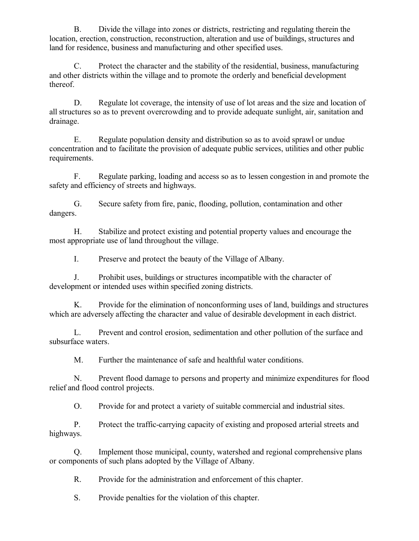B. Divide the village into zones or districts, restricting and regulating therein the location, erection, construction, reconstruction, alteration and use of buildings, structures and land for residence, business and manufacturing and other specified uses.

C. Protect the character and the stability of the residential, business, manufacturing and other districts within the village and to promote the orderly and beneficial development thereof.

D. Regulate lot coverage, the intensity of use of lot areas and the size and location of all structures so as to prevent overcrowding and to provide adequate sunlight, air, sanitation and drainage.

E. Regulate population density and distribution so as to avoid sprawl or undue concentration and to facilitate the provision of adequate public services, utilities and other public requirements.

F. Regulate parking, loading and access so as to lessen congestion in and promote the safety and efficiency of streets and highways.

G. Secure safety from fire, panic, flooding, pollution, contamination and other dangers.

H. Stabilize and protect existing and potential property values and encourage the most appropriate use of land throughout the village.

I. Preserve and protect the beauty of the Village of Albany.

J. Prohibit uses, buildings or structures incompatible with the character of development or intended uses within specified zoning districts.

K. Provide for the elimination of nonconforming uses of land, buildings and structures which are adversely affecting the character and value of desirable development in each district.

L. Prevent and control erosion, sedimentation and other pollution of the surface and subsurface waters.

M. Further the maintenance of safe and healthful water conditions.

N. Prevent flood damage to persons and property and minimize expenditures for flood relief and flood control projects.

O. Provide for and protect a variety of suitable commercial and industrial sites.

P. Protect the traffic-carrying capacity of existing and proposed arterial streets and highways.

Q. Implement those municipal, county, watershed and regional comprehensive plans or components of such plans adopted by the Village of Albany.

R. Provide for the administration and enforcement of this chapter.

S. Provide penalties for the violation of this chapter.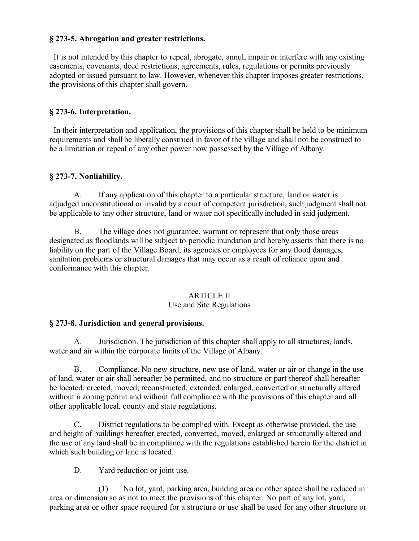#### **§ 273-5. Abrogation and greater restrictions.**

 It is not intended by this chapter to repeal, abrogate, annul, impair or interfere with any existing easements, covenants, deed restrictions, agreements, rules, regulations or permits previously adopted or issued pursuant to law. However, whenever this chapter imposes greater restrictions, the provisions of this chapter shall govern.

#### **§ 273-6. Interpretation.**

 In their interpretation and application, the provisions of this chapter shall be held to be minimum requirements and shall be liberally construed in favor of the village and shall not be construed to be a limitation or repeal of any other power now possessed by the Village of Albany.

#### **§ 273-7. Nonliability.**

A. If any application of this chapter to a particular structure, land or water is adjudged unconstitutional or invalid by a court of competent jurisdiction, such judgment shall not be applicable to any other structure, land or water not specifically included in said judgment.

B. The village does not guarantee, warrant or represent that only those areas designated as floodlands will be subject to periodic inundation and hereby asserts that there is no liability on the part of the Village Board, its agencies or employees for any flood damages, sanitation problems or structural damages that may occur as a result of reliance upon and conformance with this chapter.

#### ARTICLE II Use and Site Regulations

#### **§ 273-8. Jurisdiction and general provisions.**

A. Jurisdiction. The jurisdiction of this chapter shall apply to all structures, lands, water and air within the corporate limits of the Village of Albany.

B. Compliance. No new structure, new use of land, water or air or change in the use of land, water or air shall hereafter be permitted, and no structure or part thereof shall hereafter be located, erected, moved, reconstructed, extended, enlarged, converted or structurally altered without a zoning permit and without full compliance with the provisions of this chapter and all other applicable local, county and state regulations.

C. District regulations to be complied with. Except as otherwise provided, the use and height of buildings hereafter erected, converted, moved, enlarged or structurally altered and the use of any land shall be in compliance with the regulations established herein for the district in which such building or land is located.

D. Yard reduction or joint use.

(1) No lot, yard, parking area, building area or other space shall be reduced in area or dimension so as not to meet the provisions of this chapter. No part of any lot, yard, parking area or other space required for a structure or use shall be used for any other structure or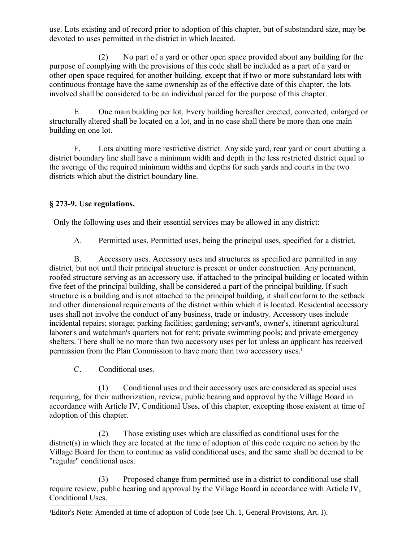use. Lots existing and of record prior to adoption of this chapter, but of substandard size, may be devoted to uses permitted in the district in which located.

(2) No part of a yard or other open space provided about any building for the purpose of complying with the provisions of this code shall be included as a part of a yard or other open space required for another building, except that if two or more substandard lots with continuous frontage have the same ownership as of the effective date of this chapter, the lots involved shall be considered to be an individual parcel for the purpose of this chapter.

E. One main building per lot. Every building hereafter erected, converted, enlarged or structurally altered shall be located on a lot, and in no case shall there be more than one main building on one lot.

F. Lots abutting more restrictive district. Any side yard, rear yard or court abutting a district boundary line shall have a minimum width and depth in the less restricted district equal to the average of the required minimum widths and depths for such yards and courts in the two districts which abut the district boundary line.

# **§ 273-9. Use regulations.**

Only the following uses and their essential services may be allowed in any district:

A. Permitted uses. Permitted uses, being the principal uses, specified for a district.

B. Accessory uses. Accessory uses and structures as specified are permitted in any district, but not until their principal structure is present or under construction. Any permanent, roofed structure serving as an accessory use, if attached to the principal building or located within five feet of the principal building, shall be considered a part of the principal building. If such structure is a building and is not attached to the principal building, it shall conform to the setback and other dimensional requirements of the district within which it is located. Residential accessory uses shall not involve the conduct of any business, trade or industry. Accessory uses include incidental repairs; storage; parking facilities; gardening; servant's, owner's, itinerant agricultural laborer's and watchman's quarters not for rent; private swimming pools; and private emergency shelters. There shall be no more than two accessory uses per lot unless an applicant has received permission from the Plan Commission to have more than two accessory uses.<sup>[1](#page-5-0)</sup>

C. Conditional uses.

(1) Conditional uses and their accessory uses are considered as special uses requiring, for their authorization, review, public hearing and approval by the Village Board in accordance with Article IV, Conditional Uses, of this chapter, excepting those existent at time of adoption of this chapter.

(2) Those existing uses which are classified as conditional uses for the district(s) in which they are located at the time of adoption of this code require no action by the Village Board for them to continue as valid conditional uses, and the same shall be deemed to be "regular" conditional uses.

(3) Proposed change from permitted use in a district to conditional use shall require review, public hearing and approval by the Village Board in accordance with Article IV, Conditional Uses.

<span id="page-5-0"></span><sup>1</sup>Editor's Note: Amended at time of adoption of Code (see Ch. 1, General Provisions, Art. I).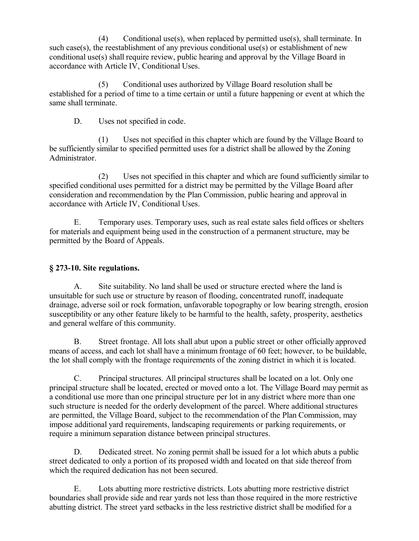(4) Conditional use(s), when replaced by permitted use(s), shall terminate. In such case(s), the reestablishment of any previous conditional use(s) or establishment of new conditional use(s) shall require review, public hearing and approval by the Village Board in accordance with Article IV, Conditional Uses.

(5) Conditional uses authorized by Village Board resolution shall be established for a period of time to a time certain or until a future happening or event at which the same shall terminate.

D. Uses not specified in code.

(1) Uses not specified in this chapter which are found by the Village Board to be sufficiently similar to specified permitted uses for a district shall be allowed by the Zoning Administrator.

(2) Uses not specified in this chapter and which are found sufficiently similar to specified conditional uses permitted for a district may be permitted by the Village Board after consideration and recommendation by the Plan Commission, public hearing and approval in accordance with Article IV, Conditional Uses.

E. Temporary uses. Temporary uses, such as real estate sales field offices or shelters for materials and equipment being used in the construction of a permanent structure, may be permitted by the Board of Appeals.

# **§ 273-10. Site regulations.**

A. Site suitability. No land shall be used or structure erected where the land is unsuitable for such use or structure by reason of flooding, concentrated runoff, inadequate drainage, adverse soil or rock formation, unfavorable topography or low bearing strength, erosion susceptibility or any other feature likely to be harmful to the health, safety, prosperity, aesthetics and general welfare of this community.

B. Street frontage. All lots shall abut upon a public street or other officially approved means of access, and each lot shall have a minimum frontage of 60 feet; however, to be buildable, the lot shall comply with the frontage requirements of the zoning district in which it is located.

C. Principal structures. All principal structures shall be located on a lot. Only one principal structure shall be located, erected or moved onto a lot. The Village Board may permit as a conditional use more than one principal structure per lot in any district where more than one such structure is needed for the orderly development of the parcel. Where additional structures are permitted, the Village Board, subject to the recommendation of the Plan Commission, may impose additional yard requirements, landscaping requirements or parking requirements, or require a minimum separation distance between principal structures.

D. Dedicated street. No zoning permit shall be issued for a lot which abuts a public street dedicated to only a portion of its proposed width and located on that side thereof from which the required dedication has not been secured.

E. Lots abutting more restrictive districts. Lots abutting more restrictive district boundaries shall provide side and rear yards not less than those required in the more restrictive abutting district. The street yard setbacks in the less restrictive district shall be modified for a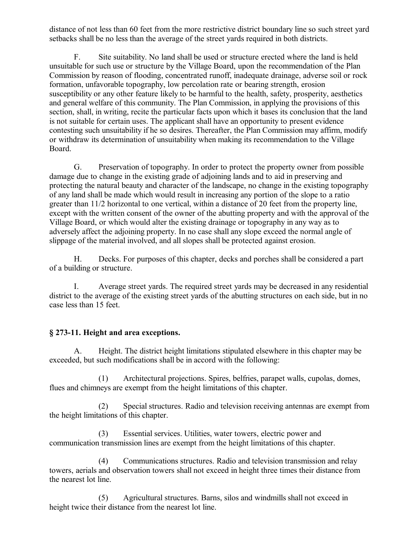distance of not less than 60 feet from the more restrictive district boundary line so such street yard setbacks shall be no less than the average of the street yards required in both districts.

F. Site suitability. No land shall be used or structure erected where the land is held unsuitable for such use or structure by the Village Board, upon the recommendation of the Plan Commission by reason of flooding, concentrated runoff, inadequate drainage, adverse soil or rock formation, unfavorable topography, low percolation rate or bearing strength, erosion susceptibility or any other feature likely to be harmful to the health, safety, prosperity, aesthetics and general welfare of this community. The Plan Commission, in applying the provisions of this section, shall, in writing, recite the particular facts upon which it bases its conclusion that the land is not suitable for certain uses. The applicant shall have an opportunity to present evidence contesting such unsuitability if he so desires. Thereafter, the Plan Commission may affirm, modify or withdraw its determination of unsuitability when making its recommendation to the Village Board.

G. Preservation of topography. In order to protect the property owner from possible damage due to change in the existing grade of adjoining lands and to aid in preserving and protecting the natural beauty and character of the landscape, no change in the existing topography of any land shall be made which would result in increasing any portion of the slope to a ratio greater than 11/2 horizontal to one vertical, within a distance of 20 feet from the property line, except with the written consent of the owner of the abutting property and with the approval of the Village Board, or which would alter the existing drainage or topography in any way as to adversely affect the adjoining property. In no case shall any slope exceed the normal angle of slippage of the material involved, and all slopes shall be protected against erosion.

H. Decks. For purposes of this chapter, decks and porches shall be considered a part of a building or structure.

I. Average street yards. The required street yards may be decreased in any residential district to the average of the existing street yards of the abutting structures on each side, but in no case less than 15 feet.

## **§ 273-11. Height and area exceptions.**

A. Height. The district height limitations stipulated elsewhere in this chapter may be exceeded, but such modifications shall be in accord with the following:

(1) Architectural projections. Spires, belfries, parapet walls, cupolas, domes, flues and chimneys are exempt from the height limitations of this chapter.

(2) Special structures. Radio and television receiving antennas are exempt from the height limitations of this chapter.

(3) Essential services. Utilities, water towers, electric power and communication transmission lines are exempt from the height limitations of this chapter.

(4) Communications structures. Radio and television transmission and relay towers, aerials and observation towers shall not exceed in height three times their distance from the nearest lot line.

(5) Agricultural structures. Barns, silos and windmills shall not exceed in height twice their distance from the nearest lot line.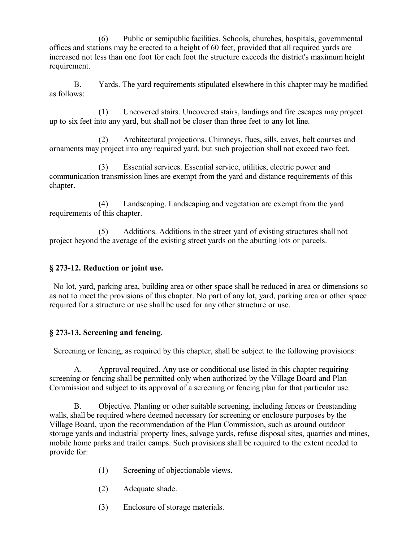(6) Public or semipublic facilities. Schools, churches, hospitals, governmental offices and stations may be erected to a height of 60 feet, provided that all required yards are increased not less than one foot for each foot the structure exceeds the district's maximum height requirement.

B. Yards. The yard requirements stipulated elsewhere in this chapter may be modified as follows:

(1) Uncovered stairs. Uncovered stairs, landings and fire escapes may project up to six feet into any yard, but shall not be closer than three feet to any lot line.

(2) Architectural projections. Chimneys, flues, sills, eaves, belt courses and ornaments may project into any required yard, but such projection shall not exceed two feet.

(3) Essential services. Essential service, utilities, electric power and communication transmission lines are exempt from the yard and distance requirements of this chapter.

(4) Landscaping. Landscaping and vegetation are exempt from the yard requirements of this chapter.

(5) Additions. Additions in the street yard of existing structures shall not project beyond the average of the existing street yards on the abutting lots or parcels.

## **§ 273-12. Reduction or joint use.**

 No lot, yard, parking area, building area or other space shall be reduced in area or dimensions so as not to meet the provisions of this chapter. No part of any lot, yard, parking area or other space required for a structure or use shall be used for any other structure or use.

## **§ 273-13. Screening and fencing.**

Screening or fencing, as required by this chapter, shall be subject to the following provisions:

A. Approval required. Any use or conditional use listed in this chapter requiring screening or fencing shall be permitted only when authorized by the Village Board and Plan Commission and subject to its approval of a screening or fencing plan for that particular use.

B. Objective. Planting or other suitable screening, including fences or freestanding walls, shall be required where deemed necessary for screening or enclosure purposes by the Village Board, upon the recommendation of the Plan Commission, such as around outdoor storage yards and industrial property lines, salvage yards, refuse disposal sites, quarries and mines, mobile home parks and trailer camps. Such provisions shall be required to the extent needed to provide for:

- (1) Screening of objectionable views.
- (2) Adequate shade.
- (3) Enclosure of storage materials.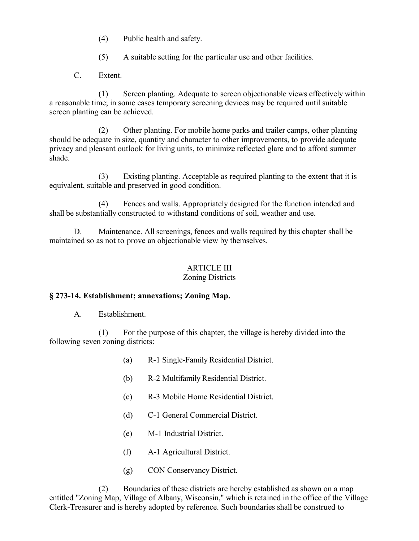- (4) Public health and safety.
- (5) A suitable setting for the particular use and other facilities.
- C. Extent.

(1) Screen planting. Adequate to screen objectionable views effectively within a reasonable time; in some cases temporary screening devices may be required until suitable screen planting can be achieved.

(2) Other planting. For mobile home parks and trailer camps, other planting should be adequate in size, quantity and character to other improvements, to provide adequate privacy and pleasant outlook for living units, to minimize reflected glare and to afford summer shade.

(3) Existing planting. Acceptable as required planting to the extent that it is equivalent, suitable and preserved in good condition.

(4) Fences and walls. Appropriately designed for the function intended and shall be substantially constructed to withstand conditions of soil, weather and use.

D. Maintenance. All screenings, fences and walls required by this chapter shall be maintained so as not to prove an objectionable view by themselves.

# ARTICLE III

# Zoning Districts

#### **§ 273-14. Establishment; annexations; Zoning Map.**

A. Establishment.

(1) For the purpose of this chapter, the village is hereby divided into the following seven zoning districts:

- (a) R-1 Single-Family Residential District.
- (b) R-2 Multifamily Residential District.
- (c) R-3 Mobile Home Residential District.
- (d) C-1 General Commercial District.
- (e) M-1 Industrial District.
- (f) A-1 Agricultural District.
- (g) CON Conservancy District.

(2) Boundaries of these districts are hereby established as shown on a map entitled "Zoning Map, Village of Albany, Wisconsin," which is retained in the office of the Village Clerk-Treasurer and is hereby adopted by reference. Such boundaries shall be construed to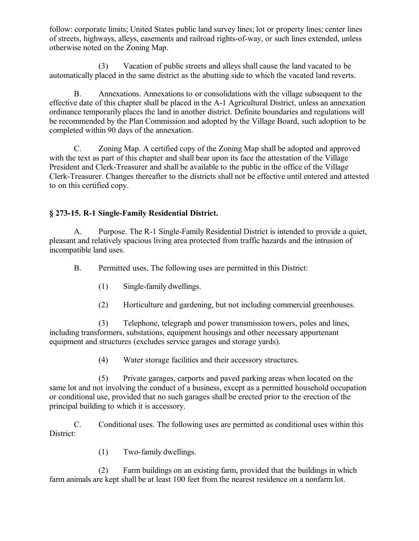follow: corporate limits; United States public land survey lines; lot or property lines; center lines of streets, highways, alleys, easements and railroad rights-of-way, or such lines extended, unless otherwise noted on the Zoning Map.

(3) Vacation of public streets and alleys shall cause the land vacated to be automatically placed in the same district as the abutting side to which the vacated land reverts.

B. Annexations. Annexations to or consolidations with the village subsequent to the effective date of this chapter shall be placed in the A-1 Agricultural District, unless an annexation ordinance temporarily places the land in another district. Definite boundaries and regulations will be recommended by the Plan Commission and adopted by the Village Board, such adoption to be completed within 90 days of the annexation.

C. Zoning Map. A certified copy of the Zoning Map shall be adopted and approved with the text as part of this chapter and shall bear upon its face the attestation of the Village President and Clerk-Treasurer and shall be available to the public in the office of the Village Clerk-Treasurer. Changes thereafter to the districts shall not be effective until entered and attested to on this certified copy.

# **§ 273-15. R-1 Single-Family Residential District.**

A. Purpose. The R-1 Single-Family Residential District is intended to provide a quiet, pleasant and relatively spacious living area protected from traffic hazards and the intrusion of incompatible land uses.

B. Permitted uses. The following uses are permitted in this District:

- (1) Single-family dwellings.
- (2) Horticulture and gardening, but not including commercial greenhouses.

(3) Telephone, telegraph and power transmission towers, poles and lines, including transformers, substations, equipment housings and other necessary appurtenant equipment and structures (excludes service garages and storage yards).

(4) Water storage facilities and their accessory structures.

(5) Private garages, carports and paved parking areas when located on the same lot and not involving the conduct of a business, except as a permitted household occupation or conditional use, provided that no such garages shall be erected prior to the erection of the principal building to which it is accessory.

C. Conditional uses. The following uses are permitted as conditional uses within this District:

(1) Two-family dwellings.

(2) Farm buildings on an existing farm, provided that the buildings in which farm animals are kept shall be at least 100 feet from the nearest residence on a nonfarm lot.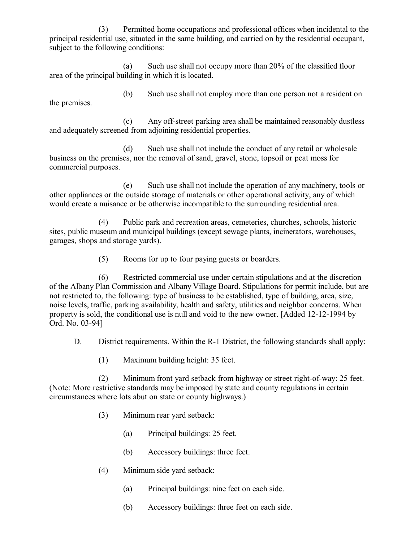(3) Permitted home occupations and professional offices when incidental to the principal residential use, situated in the same building, and carried on by the residential occupant, subject to the following conditions:

(a) Such use shall not occupy more than 20% of the classified floor area of the principal building in which it is located.

(b) Such use shall not employ more than one person not a resident on the premises.

(c) Any off-street parking area shall be maintained reasonably dustless and adequately screened from adjoining residential properties.

(d) Such use shall not include the conduct of any retail or wholesale business on the premises, nor the removal of sand, gravel, stone, topsoil or peat moss for commercial purposes.

(e) Such use shall not include the operation of any machinery, tools or other appliances or the outside storage of materials or other operational activity, any of which would create a nuisance or be otherwise incompatible to the surrounding residential area.

(4) Public park and recreation areas, cemeteries, churches, schools, historic sites, public museum and municipal buildings (except sewage plants, incinerators, warehouses, garages, shops and storage yards).

(5) Rooms for up to four paying guests or boarders.

(6) Restricted commercial use under certain stipulations and at the discretion of the Albany Plan Commission and Albany Village Board. Stipulations for permit include, but are not restricted to, the following: type of business to be established, type of building, area, size, noise levels, traffic, parking availability, health and safety, utilities and neighbor concerns. When property is sold, the conditional use is null and void to the new owner. [Added 12-12-1994 by Ord. No. 03-94]

D. District requirements. Within the R-1 District, the following standards shall apply:

(1) Maximum building height: 35 feet.

(2) Minimum front yard setback from highway or street right-of-way: 25 feet. (Note: More restrictive standards may be imposed by state and county regulations in certain circumstances where lots abut on state or county highways.)

- (3) Minimum rear yard setback:
	- (a) Principal buildings: 25 feet.
	- (b) Accessory buildings: three feet.
- (4) Minimum side yard setback:
	- (a) Principal buildings: nine feet on each side.
	- (b) Accessory buildings: three feet on each side.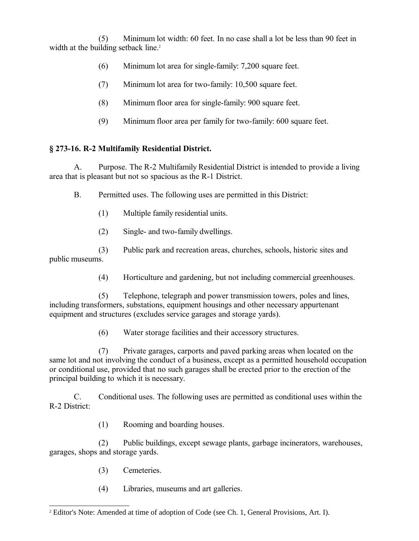(5) Minimum lot width: 60 feet. In no case shall a lot be less than 90 feet in width at the building setback line.<sup>[2](#page-12-0)</sup>

- (6) Minimum lot area for single-family: 7,200 square feet.
- (7) Minimum lot area for two-family: 10,500 square feet.
- (8) Minimum floor area for single-family: 900 square feet.
- (9) Minimum floor area per family for two-family: 600 square feet.

## **§ 273-16. R-2 Multifamily Residential District.**

A. Purpose. The R-2 Multifamily Residential District is intended to provide a living area that is pleasant but not so spacious as the R-1 District.

B. Permitted uses. The following uses are permitted in this District:

- (1) Multiple family residential units.
- (2) Single- and two-family dwellings.

(3) Public park and recreation areas, churches, schools, historic sites and public museums.

(4) Horticulture and gardening, but not including commercial greenhouses.

(5) Telephone, telegraph and power transmission towers, poles and lines, including transformers, substations, equipment housings and other necessary appurtenant equipment and structures (excludes service garages and storage yards).

(6) Water storage facilities and their accessory structures.

(7) Private garages, carports and paved parking areas when located on the same lot and not involving the conduct of a business, except as a permitted household occupation or conditional use, provided that no such garages shall be erected prior to the erection of the principal building to which it is necessary.

C. Conditional uses. The following uses are permitted as conditional uses within the R-2 District:

(1) Rooming and boarding houses.

(2) Public buildings, except sewage plants, garbage incinerators, warehouses, garages, shops and storage yards.

- (3) Cemeteries.
- (4) Libraries, museums and art galleries.

<span id="page-12-0"></span><sup>&</sup>lt;sup>2</sup> Editor's Note: Amended at time of adoption of Code (see Ch. 1, General Provisions, Art. I).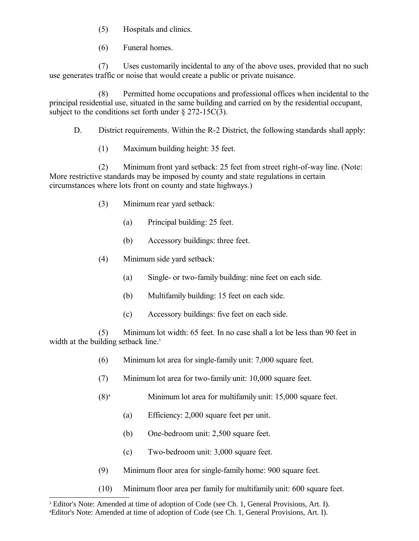(5) Hospitals and clinics.

(6) Funeral homes.

(7) Uses customarily incidental to any of the above uses, provided that no such use generates traffic or noise that would create a public or private nuisance.

(8) Permitted home occupations and professional offices when incidental to the principal residential use, situated in the same building and carried on by the residential occupant, subject to the conditions set forth under  $\S 272-15C(3)$ .

D. District requirements. Within the R-2 District, the following standards shall apply:

(1) Maximum building height: 35 feet.

(2) Minimum front yard setback: 25 feet from street right-of-way line. (Note: More restrictive standards may be imposed by county and state regulations in certain circumstances where lots front on county and state highways.)

- (3) Minimum rear yard setback:
	- (a) Principal building: 25 feet.
	- (b) Accessory buildings: three feet.
- (4) Minimum side yard setback:
	- (a) Single- or two-family building: nine feet on each side.
	- (b) Multifamily building: 15 feet on each side.
	- (c) Accessory buildings: five feet on each side.

(5) Minimum lot width: 65 feet. In no case shall a lot be less than 90 feet in width at the building setback line.<sup>[3](#page-13-0)</sup>

- (6) Minimum lot area for single-family unit: 7,000 square feet.
- (7) Minimum lot area for two-family unit: 10,000 square feet.
- $(8)^4$  $(8)^4$  Minimum lot area for multifamily unit: 15,000 square feet.
	- (a) Efficiency: 2,000 square feet per unit.
	- (b) One-bedroom unit: 2,500 square feet.
	- (c) Two-bedroom unit: 3,000 square feet.
- (9) Minimum floor area for single-family home: 900 square feet.
- (10) Minimum floor area per family for multifamily unit: 600 square feet.

<span id="page-13-0"></span><sup>&</sup>lt;sup>3</sup> Editor's Note: Amended at time of adoption of Code (see Ch. 1, General Provisions, Art. I).

<span id="page-13-1"></span><sup>4</sup>Editor's Note: Amended at time of adoption of Code (see Ch. 1, General Provisions, Art. I).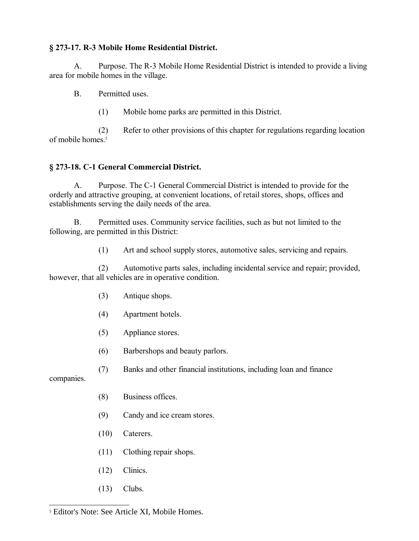## **§ 273-17. R-3 Mobile Home Residential District.**

A. Purpose. The R-3 Mobile Home Residential District is intended to provide a living area for mobile homes in the village.

B. Permitted uses.

(1) Mobile home parks are permitted in this District.

(2) Refer to other provisions of this chapter for regulations regarding location of mobile homes.<sup>[5](#page-14-0)</sup>

## **§ 273-18. C-1 General Commercial District.**

A. Purpose. The C-1 General Commercial District is intended to provide for the orderly and attractive grouping, at convenient locations, of retail stores, shops, offices and establishments serving the daily needs of the area.

B. Permitted uses. Community service facilities, such as but not limited to the following, are permitted in this District:

(1) Art and school supply stores, automotive sales, servicing and repairs.

(2) Automotive parts sales, including incidental service and repair; provided, however, that all vehicles are in operative condition.

- (3) Antique shops.
- (4) Apartment hotels.
- (5) Appliance stores.
- (6) Barbershops and beauty parlors.
- (7) Banks and other financial institutions, including loan and finance

companies.

- (8) Business offices.
- (9) Candy and ice cream stores.
- (10) Caterers.
- (11) Clothing repair shops.
- (12) Clinics.
- (13) Clubs.

<span id="page-14-0"></span><sup>5</sup> Editor's Note: See Article XI, Mobile Homes.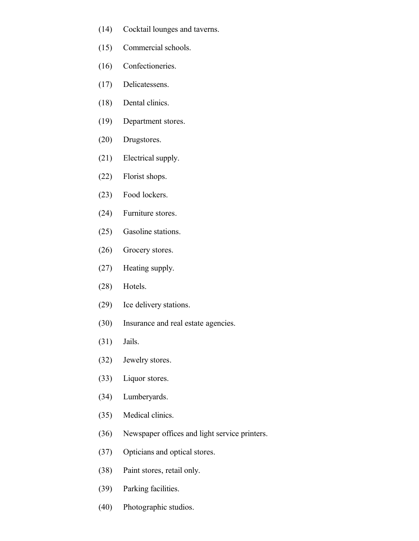- (14) Cocktail lounges and taverns.
- (15) Commercial schools.
- (16) Confectioneries.
- (17) Delicatessens.
- (18) Dental clinics.
- (19) Department stores.
- (20) Drugstores.
- (21) Electrical supply.
- (22) Florist shops.
- (23) Food lockers.
- (24) Furniture stores.
- (25) Gasoline stations.
- (26) Grocery stores.
- (27) Heating supply.
- (28) Hotels.
- (29) Ice delivery stations.
- (30) Insurance and real estate agencies.
- (31) Jails.
- (32) Jewelry stores.
- (33) Liquor stores.
- (34) Lumberyards.
- (35) Medical clinics.
- (36) Newspaper offices and light service printers.
- (37) Opticians and optical stores.
- (38) Paint stores, retail only.
- (39) Parking facilities.
- (40) Photographic studios.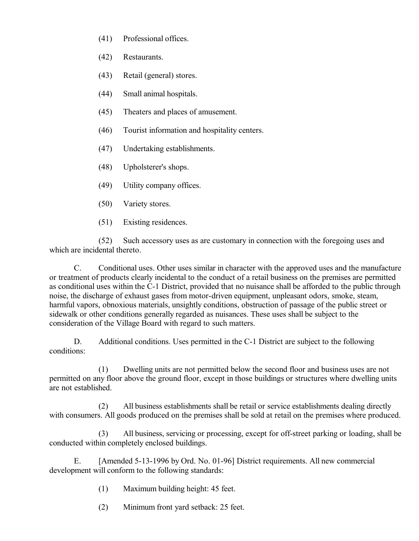- (41) Professional offices.
- (42) Restaurants.
- (43) Retail (general) stores.
- (44) Small animal hospitals.
- (45) Theaters and places of amusement.
- (46) Tourist information and hospitality centers.
- (47) Undertaking establishments.
- (48) Upholsterer's shops.
- (49) Utility company offices.
- (50) Variety stores.
- (51) Existing residences.

(52) Such accessory uses as are customary in connection with the foregoing uses and which are incidental thereto.

C. Conditional uses. Other uses similar in character with the approved uses and the manufacture or treatment of products clearly incidental to the conduct of a retail business on the premises are permitted as conditional uses within the C-1 District, provided that no nuisance shall be afforded to the public through noise, the discharge of exhaust gases from motor-driven equipment, unpleasant odors, smoke, steam, harmful vapors, obnoxious materials, unsightly conditions, obstruction of passage of the public street or sidewalk or other conditions generally regarded as nuisances. These uses shall be subject to the consideration of the Village Board with regard to such matters.

D. Additional conditions. Uses permitted in the C-1 District are subject to the following conditions:

(1) Dwelling units are not permitted below the second floor and business uses are not permitted on any floor above the ground floor, except in those buildings or structures where dwelling units are not established.

(2) All business establishments shall be retail or service establishments dealing directly with consumers. All goods produced on the premises shall be sold at retail on the premises where produced.

(3) All business, servicing or processing, except for off-street parking or loading, shall be conducted within completely enclosed buildings.

E. [Amended 5-13-1996 by Ord. No. 01-96] District requirements. All new commercial development will conform to the following standards:

- (1) Maximum building height: 45 feet.
- (2) Minimum front yard setback: 25 feet.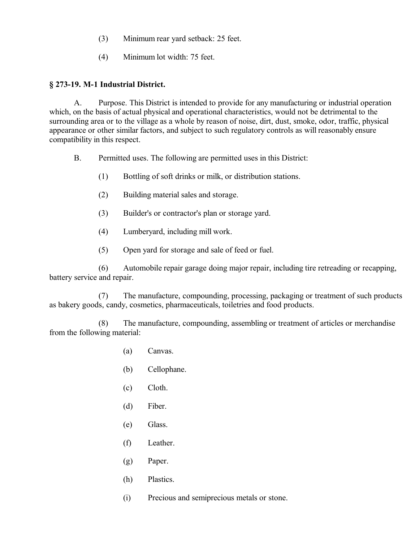- (3) Minimum rear yard setback: 25 feet.
- (4) Minimum lot width: 75 feet.

## **§ 273-19. M-1 Industrial District.**

A. Purpose. This District is intended to provide for any manufacturing or industrial operation which, on the basis of actual physical and operational characteristics, would not be detrimental to the surrounding area or to the village as a whole by reason of noise, dirt, dust, smoke, odor, traffic, physical appearance or other similar factors, and subject to such regulatory controls as will reasonably ensure compatibility in this respect.

- B. Permitted uses. The following are permitted uses in this District:
	- (1) Bottling of soft drinks or milk, or distribution stations.
	- (2) Building material sales and storage.
	- (3) Builder's or contractor's plan or storage yard.
	- (4) Lumberyard, including mill work.
	- (5) Open yard for storage and sale of feed or fuel.

(6) Automobile repair garage doing major repair, including tire retreading or recapping, battery service and repair.

(7) The manufacture, compounding, processing, packaging or treatment of such products as bakery goods, candy, cosmetics, pharmaceuticals, toiletries and food products.

(8) The manufacture, compounding, assembling or treatment of articles or merchandise from the following material:

- (a) Canvas.
- (b) Cellophane.
- (c) Cloth.
- (d) Fiber.
- (e) Glass.
- (f) Leather.
- (g) Paper.
- (h) Plastics.
- (i) Precious and semiprecious metals or stone.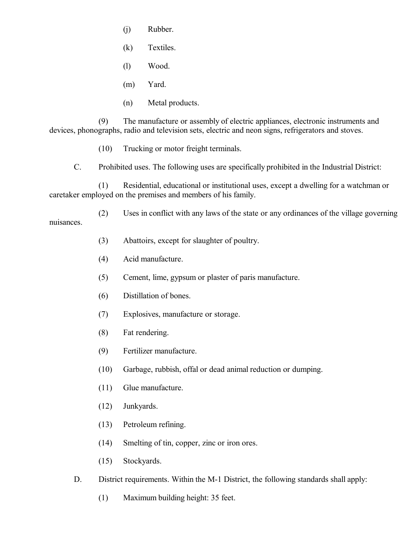- (j) Rubber.
- (k) Textiles.
- (l) Wood.
- (m) Yard.
- (n) Metal products.

(9) The manufacture or assembly of electric appliances, electronic instruments and devices, phonographs, radio and television sets, electric and neon signs, refrigerators and stoves.

- (10) Trucking or motor freight terminals.
- C. Prohibited uses. The following uses are specifically prohibited in the Industrial District:

(1) Residential, educational or institutional uses, except a dwelling for a watchman or caretaker employed on the premises and members of his family.

(2) Uses in conflict with any laws of the state or any ordinances of the village governing nuisances.

- (3) Abattoirs, except for slaughter of poultry.
- (4) Acid manufacture.
- (5) Cement, lime, gypsum or plaster of paris manufacture.
- (6) Distillation of bones.
- (7) Explosives, manufacture or storage.
- (8) Fat rendering.
- (9) Fertilizer manufacture.
- (10) Garbage, rubbish, offal or dead animal reduction or dumping.
- (11) Glue manufacture.
- (12) Junkyards.
- (13) Petroleum refining.
- (14) Smelting of tin, copper, zinc or iron ores.
- (15) Stockyards.
- D. District requirements. Within the M-1 District, the following standards shall apply:
	- (1) Maximum building height: 35 feet.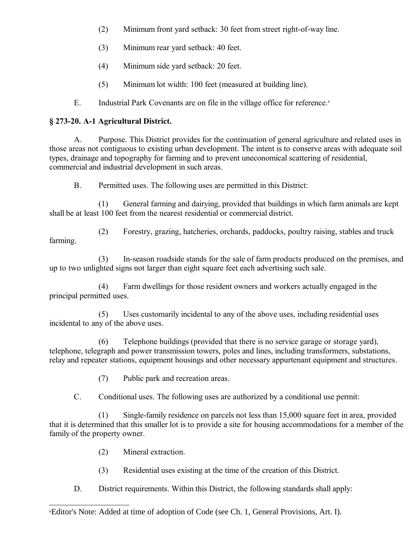- (2) Minimum front yard setback: 30 feet from street right-of-way line.
- (3) Minimum rear yard setback: 40 feet.
- (4) Minimum side yard setback: 20 feet.
- (5) Minimum lot width: 100 feet (measured at building line).
- E. Industrial Park Covenants are on file in the village office for reference.<sup>[6](#page-19-0)</sup>

# **§ 273-20. A-1 Agricultural District.**

A. Purpose. This District provides for the continuation of general agriculture and related uses in those areas not contiguous to existing urban development. The intent is to conserve areas with adequate soil types, drainage and topography for farming and to prevent uneconomical scattering of residential, commercial and industrial development in such areas.

B. Permitted uses. The following uses are permitted in this District:

(1) General farming and dairying, provided that buildings in which farm animals are kept shall be at least 100 feet from the nearest residential or commercial district.

(2) Forestry, grazing, hatcheries, orchards, paddocks, poultry raising, stables and truck farming.

(3) In-season roadside stands for the sale of farm products produced on the premises, and up to two unlighted signs not larger than eight square feet each advertising such sale.

(4) Farm dwellings for those resident owners and workers actually engaged in the principal permitted uses.

(5) Uses customarily incidental to any of the above uses, including residential uses incidental to any of the above uses.

(6) Telephone buildings (provided that there is no service garage or storage yard), telephone, telegraph and power transmission towers, poles and lines, including transformers, substations, relay and repeater stations, equipment housings and other necessary appurtenant equipment and structures.

(7) Public park and recreation areas.

C. Conditional uses. The following uses are authorized by a conditional use permit:

(1) Single-family residence on parcels not less than 15,000 square feet in area, provided that it is determined that this smaller lot is to provide a site for housing accommodations for a member of the family of the property owner.

- (2) Mineral extraction.
- (3) Residential uses existing at the time of the creation of this District.
- D. District requirements. Within this District, the following standards shall apply:

<span id="page-19-0"></span><sup>6</sup>Editor's Note: Added at time of adoption of Code (see Ch. 1, General Provisions, Art. I).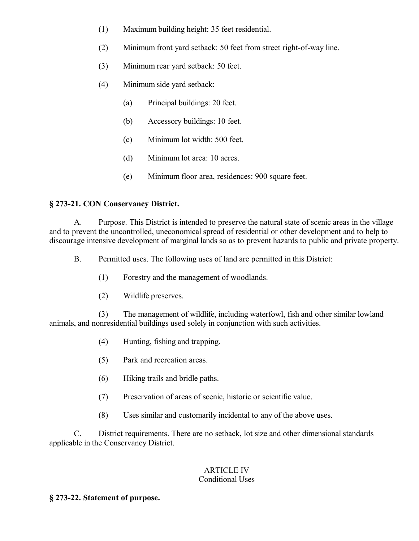- (1) Maximum building height: 35 feet residential.
- (2) Minimum front yard setback: 50 feet from street right-of-way line.
- (3) Minimum rear yard setback: 50 feet.
- (4) Minimum side yard setback:
	- (a) Principal buildings: 20 feet.
	- (b) Accessory buildings: 10 feet.
	- (c) Minimum lot width: 500 feet.
	- (d) Minimum lot area: 10 acres.
	- (e) Minimum floor area, residences: 900 square feet.

## **§ 273-21. CON Conservancy District.**

A. Purpose. This District is intended to preserve the natural state of scenic areas in the village and to prevent the uncontrolled, uneconomical spread of residential or other development and to help to discourage intensive development of marginal lands so as to prevent hazards to public and private property.

B. Permitted uses. The following uses of land are permitted in this District:

- (1) Forestry and the management of woodlands.
- (2) Wildlife preserves.

(3) The management of wildlife, including waterfowl, fish and other similar lowland animals, and nonresidential buildings used solely in conjunction with such activities.

- (4) Hunting, fishing and trapping.
- (5) Park and recreation areas.
- (6) Hiking trails and bridle paths.
- (7) Preservation of areas of scenic, historic or scientific value.
- (8) Uses similar and customarily incidental to any of the above uses.

C. District requirements. There are no setback, lot size and other dimensional standards applicable in the Conservancy District.

## ARTICLE IV Conditional Uses

## **§ 273-22. Statement of purpose.**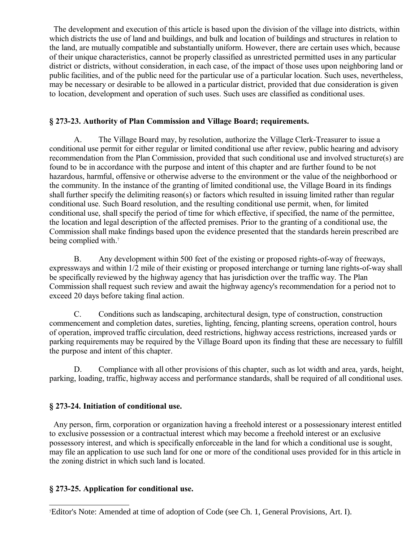The development and execution of this article is based upon the division of the village into districts, within which districts the use of land and buildings, and bulk and location of buildings and structures in relation to the land, are mutually compatible and substantially uniform. However, there are certain uses which, because of their unique characteristics, cannot be properly classified as unrestricted permitted uses in any particular district or districts, without consideration, in each case, of the impact of those uses upon neighboring land or public facilities, and of the public need for the particular use of a particular location. Such uses, nevertheless, may be necessary or desirable to be allowed in a particular district, provided that due consideration is given to location, development and operation of such uses. Such uses are classified as conditional uses.

#### **§ 273-23. Authority of Plan Commission and Village Board; requirements.**

A. The Village Board may, by resolution, authorize the Village Clerk-Treasurer to issue a conditional use permit for either regular or limited conditional use after review, public hearing and advisory recommendation from the Plan Commission, provided that such conditional use and involved structure(s) are found to be in accordance with the purpose and intent of this chapter and are further found to be not hazardous, harmful, offensive or otherwise adverse to the environment or the value of the neighborhood or the community. In the instance of the granting of limited conditional use, the Village Board in its findings shall further specify the delimiting reason(s) or factors which resulted in issuing limited rather than regular conditional use. Such Board resolution, and the resulting conditional use permit, when, for limited conditional use, shall specify the period of time for which effective, if specified, the name of the permittee, the location and legal description of the affected premises. Prior to the granting of a conditional use, the Commission shall make findings based upon the evidence presented that the standards herein prescribed are being complied with.<sup>[7](#page-21-0)</sup>

B. Any development within 500 feet of the existing or proposed rights-of-way of freeways, expressways and within 1/2 mile of their existing or proposed interchange or turning lane rights-of-way shall be specifically reviewed by the highway agency that has jurisdiction over the traffic way. The Plan Commission shall request such review and await the highway agency's recommendation for a period not to exceed 20 days before taking final action.

C. Conditions such as landscaping, architectural design, type of construction, construction commencement and completion dates, sureties, lighting, fencing, planting screens, operation control, hours of operation, improved traffic circulation, deed restrictions, highway access restrictions, increased yards or parking requirements may be required by the Village Board upon its finding that these are necessary to fulfill the purpose and intent of this chapter.

D. Compliance with all other provisions of this chapter, such as lot width and area, yards, height, parking, loading, traffic, highway access and performance standards, shall be required of all conditional uses.

## **§ 273-24. Initiation of conditional use.**

 Any person, firm, corporation or organization having a freehold interest or a possessionary interest entitled to exclusive possession or a contractual interest which may become a freehold interest or an exclusive possessory interest, and which is specifically enforceable in the land for which a conditional use is sought, may file an application to use such land for one or more of the conditional uses provided for in this article in the zoning district in which such land is located.

## **§ 273-25. Application for conditional use.**

<span id="page-21-0"></span><sup>7</sup>Editor's Note: Amended at time of adoption of Code (see Ch. 1, General Provisions, Art. I).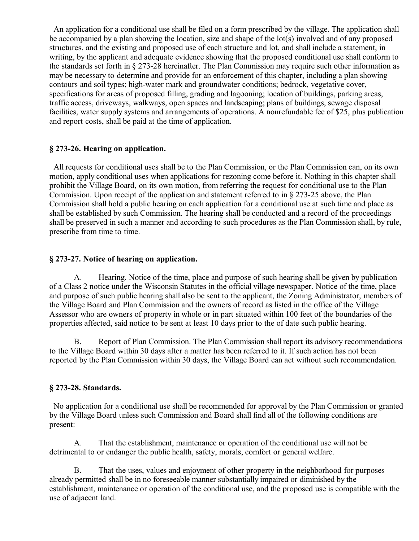An application for a conditional use shall be filed on a form prescribed by the village. The application shall be accompanied by a plan showing the location, size and shape of the lot(s) involved and of any proposed structures, and the existing and proposed use of each structure and lot, and shall include a statement, in writing, by the applicant and adequate evidence showing that the proposed conditional use shall conform to the standards set forth in § 273-28 hereinafter. The Plan Commission may require such other information as may be necessary to determine and provide for an enforcement of this chapter, including a plan showing contours and soil types; high-water mark and groundwater conditions; bedrock, vegetative cover, specifications for areas of proposed filling, grading and lagooning; location of buildings, parking areas, traffic access, driveways, walkways, open spaces and landscaping; plans of buildings, sewage disposal facilities, water supply systems and arrangements of operations. A nonrefundable fee of \$25, plus publication and report costs, shall be paid at the time of application.

## **§ 273-26. Hearing on application.**

 All requests for conditional uses shall be to the Plan Commission, or the Plan Commission can, on its own motion, apply conditional uses when applications for rezoning come before it. Nothing in this chapter shall prohibit the Village Board, on its own motion, from referring the request for conditional use to the Plan Commission. Upon receipt of the application and statement referred to in § 273-25 above, the Plan Commission shall hold a public hearing on each application for a conditional use at such time and place as shall be established by such Commission. The hearing shall be conducted and a record of the proceedings shall be preserved in such a manner and according to such procedures as the Plan Commission shall, by rule, prescribe from time to time.

#### **§ 273-27. Notice of hearing on application.**

A. Hearing. Notice of the time, place and purpose of such hearing shall be given by publication of a Class 2 notice under the Wisconsin Statutes in the official village newspaper. Notice of the time, place and purpose of such public hearing shall also be sent to the applicant, the Zoning Administrator, members of the Village Board and Plan Commission and the owners of record as listed in the office of the Village Assessor who are owners of property in whole or in part situated within 100 feet of the boundaries of the properties affected, said notice to be sent at least 10 days prior to the of date such public hearing.

B. Report of Plan Commission. The Plan Commission shall report its advisory recommendations to the Village Board within 30 days after a matter has been referred to it. If such action has not been reported by the Plan Commission within 30 days, the Village Board can act without such recommendation.

## **§ 273-28. Standards.**

 No application for a conditional use shall be recommended for approval by the Plan Commission or granted by the Village Board unless such Commission and Board shall find all of the following conditions are present:

A. That the establishment, maintenance or operation of the conditional use will not be detrimental to or endanger the public health, safety, morals, comfort or general welfare.

B. That the uses, values and enjoyment of other property in the neighborhood for purposes already permitted shall be in no foreseeable manner substantially impaired or diminished by the establishment, maintenance or operation of the conditional use, and the proposed use is compatible with the use of adjacent land.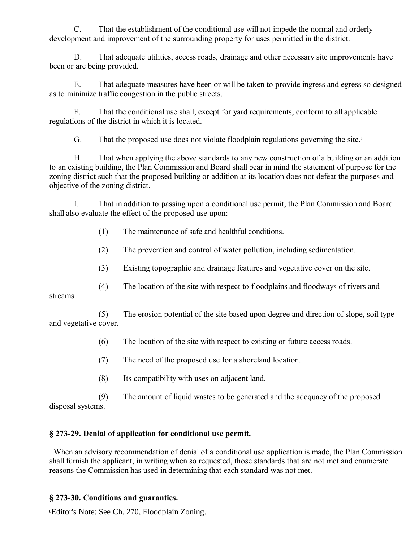C. That the establishment of the conditional use will not impede the normal and orderly development and improvement of the surrounding property for uses permitted in the district.

D. That adequate utilities, access roads, drainage and other necessary site improvements have been or are being provided.

E. That adequate measures have been or will be taken to provide ingress and egress so designed as to minimize traffic congestion in the public streets.

F. That the conditional use shall, except for yard requirements, conform to all applicable regulations of the district in which it is located.

G. That the proposed use does not violate floodplain regulations governing the site.<sup>[8](#page-23-0)</sup>

H. That when applying the above standards to any new construction of a building or an addition to an existing building, the Plan Commission and Board shall bear in mind the statement of purpose for the zoning district such that the proposed building or addition at its location does not defeat the purposes and objective of the zoning district.

I. That in addition to passing upon a conditional use permit, the Plan Commission and Board shall also evaluate the effect of the proposed use upon:

- (1) The maintenance of safe and healthful conditions.
- (2) The prevention and control of water pollution, including sedimentation.
- (3) Existing topographic and drainage features and vegetative cover on the site.
- (4) The location of the site with respect to floodplains and floodways of rivers and

streams.

(5) The erosion potential of the site based upon degree and direction of slope, soil type and vegetative cover.

- (6) The location of the site with respect to existing or future access roads.
- (7) The need of the proposed use for a shoreland location.
- (8) Its compatibility with uses on adjacent land.

(9) The amount of liquid wastes to be generated and the adequacy of the proposed disposal systems.

## **§ 273-29. Denial of application for conditional use permit.**

When an advisory recommendation of denial of a conditional use application is made, the Plan Commission shall furnish the applicant, in writing when so requested, those standards that are not met and enumerate reasons the Commission has used in determining that each standard was not met.

## **§ 273-30. Conditions and guaranties.**

<span id="page-23-0"></span>8Editor's Note: See Ch. 270, Floodplain Zoning.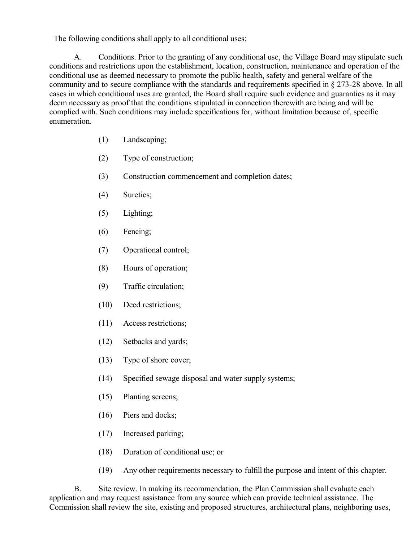The following conditions shall apply to all conditional uses:

A. Conditions. Prior to the granting of any conditional use, the Village Board may stipulate such conditions and restrictions upon the establishment, location, construction, maintenance and operation of the conditional use as deemed necessary to promote the public health, safety and general welfare of the community and to secure compliance with the standards and requirements specified in § 273-28 above. In all cases in which conditional uses are granted, the Board shall require such evidence and guaranties as it may deem necessary as proof that the conditions stipulated in connection therewith are being and will be complied with. Such conditions may include specifications for, without limitation because of, specific enumeration.

- (1) Landscaping;
- (2) Type of construction;
- (3) Construction commencement and completion dates;
- (4) Sureties;
- (5) Lighting;
- (6) Fencing;
- (7) Operational control;
- (8) Hours of operation;
- (9) Traffic circulation;
- (10) Deed restrictions;
- (11) Access restrictions;
- (12) Setbacks and yards;
- (13) Type of shore cover;
- (14) Specified sewage disposal and water supply systems;
- (15) Planting screens;
- (16) Piers and docks;
- (17) Increased parking;
- (18) Duration of conditional use; or
- (19) Any other requirements necessary to fulfill the purpose and intent of this chapter.

B. Site review. In making its recommendation, the Plan Commission shall evaluate each application and may request assistance from any source which can provide technical assistance. The Commission shall review the site, existing and proposed structures, architectural plans, neighboring uses,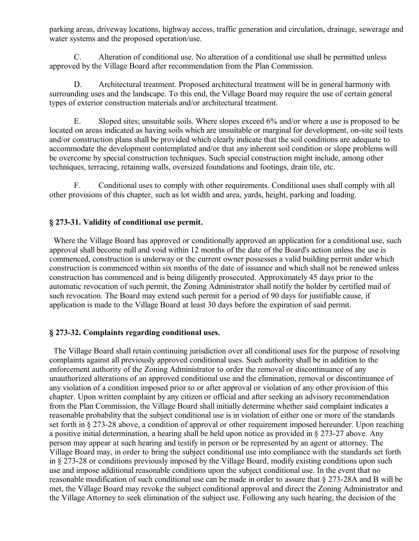parking areas, driveway locations, highway access, traffic generation and circulation, drainage, sewerage and water systems and the proposed operation/use.

C. Alteration of conditional use. No alteration of a conditional use shall be permitted unless approved by the Village Board after recommendation from the Plan Commission.

D. Architectural treatment. Proposed architectural treatment will be in general harmony with surrounding uses and the landscape. To this end, the Village Board may require the use of certain general types of exterior construction materials and/or architectural treatment.

E. Sloped sites; unsuitable soils. Where slopes exceed 6% and/or where a use is proposed to be located on areas indicated as having soils which are unsuitable or marginal for development, on-site soil tests and/or construction plans shall be provided which clearly indicate that the soil conditions are adequate to accommodate the development contemplated and/or that any inherent soil condition or slope problems will be overcome by special construction techniques. Such special construction might include, among other techniques, terracing, retaining walls, oversized foundations and footings, drain tile, etc.

F. Conditional uses to comply with other requirements. Conditional uses shall comply with all other provisions of this chapter, such as lot width and area, yards, height, parking and loading.

## **§ 273-31. Validity of conditional use permit.**

 Where the Village Board has approved or conditionally approved an application for a conditional use, such approval shall become null and void within 12 months of the date of the Board's action unless the use is commenced, construction is underway or the current owner possesses a valid building permit under which construction is commenced within six months of the date of issuance and which shall not be renewed unless construction has commenced and is being diligently prosecuted. Approximately 45 days prior to the automatic revocation of such permit, the Zoning Administrator shall notify the holder by certified mail of such revocation. The Board may extend such permit for a period of 90 days for justifiable cause, if application is made to the Village Board at least 30 days before the expiration of said permit.

#### **§ 273-32. Complaints regarding conditional uses.**

 The Village Board shall retain continuing jurisdiction over all conditional uses for the purpose of resolving complaints against all previously approved conditional uses. Such authority shall be in addition to the enforcement authority of the Zoning Administrator to order the removal or discontinuance of any unauthorized alterations of an approved conditional use and the elimination, removal or discontinuance of any violation of a condition imposed prior to or after approval or violation of any other provision of this chapter. Upon written complaint by any citizen or official and after seeking an advisory recommendation from the Plan Commission, the Village Board shall initially determine whether said complaint indicates a reasonable probability that the subject conditional use is in violation of either one or more of the standards set forth in § 273-28 above, a condition of approval or other requirement imposed hereunder. Upon reaching a positive initial determination, a hearing shall be held upon notice as provided in § 273-27 above. Any person may appear at such hearing and testify in person or be represented by an agent or attorney. The Village Board may, in order to bring the subject conditional use into compliance with the standards set forth in § 273-28 or conditions previously imposed by the Village Board, modify existing conditions upon such use and impose additional reasonable conditions upon the subject conditional use. In the event that no reasonable modification of such conditional use can be made in order to assure that § 273-28A and B will be met, the Village Board may revoke the subject conditional approval and direct the Zoning Administrator and the Village Attorney to seek elimination of the subject use. Following any such hearing, the decision of the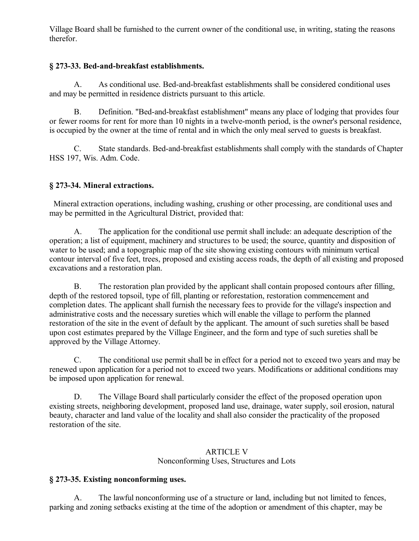Village Board shall be furnished to the current owner of the conditional use, in writing, stating the reasons therefor.

## **§ 273-33. Bed-and-breakfast establishments.**

A. As conditional use. Bed-and-breakfast establishments shall be considered conditional uses and may be permitted in residence districts pursuant to this article.

B. Definition. "Bed-and-breakfast establishment" means any place of lodging that provides four or fewer rooms for rent for more than 10 nights in a twelve-month period, is the owner's personal residence, is occupied by the owner at the time of rental and in which the only meal served to guests is breakfast.

C. State standards. Bed-and-breakfast establishments shall comply with the standards of Chapter HSS 197, Wis. Adm. Code.

# **§ 273-34. Mineral extractions.**

 Mineral extraction operations, including washing, crushing or other processing, are conditional uses and may be permitted in the Agricultural District, provided that:

A. The application for the conditional use permit shall include: an adequate description of the operation; a list of equipment, machinery and structures to be used; the source, quantity and disposition of water to be used; and a topographic map of the site showing existing contours with minimum vertical contour interval of five feet, trees, proposed and existing access roads, the depth of all existing and proposed excavations and a restoration plan.

B. The restoration plan provided by the applicant shall contain proposed contours after filling, depth of the restored topsoil, type of fill, planting or reforestation, restoration commencement and completion dates. The applicant shall furnish the necessary fees to provide for the village's inspection and administrative costs and the necessary sureties which will enable the village to perform the planned restoration of the site in the event of default by the applicant. The amount of such sureties shall be based upon cost estimates prepared by the Village Engineer, and the form and type of such sureties shall be approved by the Village Attorney.

C. The conditional use permit shall be in effect for a period not to exceed two years and may be renewed upon application for a period not to exceed two years. Modifications or additional conditions may be imposed upon application for renewal.

D. The Village Board shall particularly consider the effect of the proposed operation upon existing streets, neighboring development, proposed land use, drainage, water supply, soil erosion, natural beauty, character and land value of the locality and shall also consider the practicality of the proposed restoration of the site.

#### ARTICLE V Nonconforming Uses, Structures and Lots

## **§ 273-35. Existing nonconforming uses.**

A. The lawful nonconforming use of a structure or land, including but not limited to fences, parking and zoning setbacks existing at the time of the adoption or amendment of this chapter, may be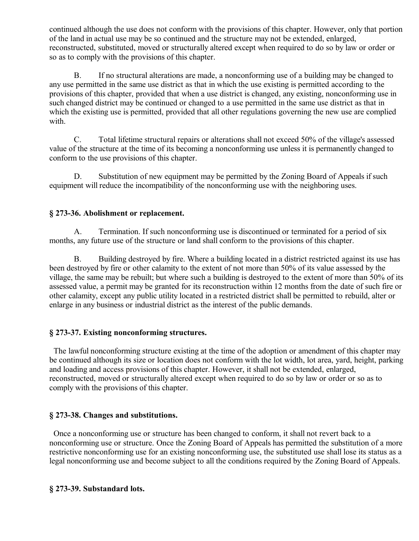continued although the use does not conform with the provisions of this chapter. However, only that portion of the land in actual use may be so continued and the structure may not be extended, enlarged, reconstructed, substituted, moved or structurally altered except when required to do so by law or order or so as to comply with the provisions of this chapter.

B. If no structural alterations are made, a nonconforming use of a building may be changed to any use permitted in the same use district as that in which the use existing is permitted according to the provisions of this chapter, provided that when a use district is changed, any existing, nonconforming use in such changed district may be continued or changed to a use permitted in the same use district as that in which the existing use is permitted, provided that all other regulations governing the new use are complied with.

C. Total lifetime structural repairs or alterations shall not exceed 50% of the village's assessed value of the structure at the time of its becoming a nonconforming use unless it is permanently changed to conform to the use provisions of this chapter.

D. Substitution of new equipment may be permitted by the Zoning Board of Appeals if such equipment will reduce the incompatibility of the nonconforming use with the neighboring uses.

## **§ 273-36. Abolishment or replacement.**

A. Termination. If such nonconforming use is discontinued or terminated for a period of six months, any future use of the structure or land shall conform to the provisions of this chapter.

B. Building destroyed by fire. Where a building located in a district restricted against its use has been destroyed by fire or other calamity to the extent of not more than 50% of its value assessed by the village, the same may be rebuilt; but where such a building is destroyed to the extent of more than 50% of its assessed value, a permit may be granted for its reconstruction within 12 months from the date of such fire or other calamity, except any public utility located in a restricted district shall be permitted to rebuild, alter or enlarge in any business or industrial district as the interest of the public demands.

## **§ 273-37. Existing nonconforming structures.**

 The lawful nonconforming structure existing at the time of the adoption or amendment of this chapter may be continued although its size or location does not conform with the lot width, lot area, yard, height, parking and loading and access provisions of this chapter. However, it shall not be extended, enlarged, reconstructed, moved or structurally altered except when required to do so by law or order or so as to comply with the provisions of this chapter.

## **§ 273-38. Changes and substitutions.**

 Once a nonconforming use or structure has been changed to conform, it shall not revert back to a nonconforming use or structure. Once the Zoning Board of Appeals has permitted the substitution of a more restrictive nonconforming use for an existing nonconforming use, the substituted use shall lose its status as a legal nonconforming use and become subject to all the conditions required by the Zoning Board of Appeals.

## **§ 273-39. Substandard lots.**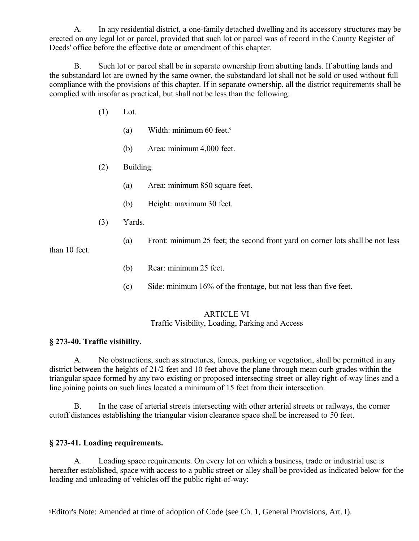A. In any residential district, a one-family detached dwelling and its accessory structures may be erected on any legal lot or parcel, provided that such lot or parcel was of record in the County Register of Deeds' office before the effective date or amendment of this chapter.

B. Such lot or parcel shall be in separate ownership from abutting lands. If abutting lands and the substandard lot are owned by the same owner, the substandard lot shall not be sold or used without full compliance with the provisions of this chapter. If in separate ownership, all the district requirements shall be complied with insofar as practical, but shall not be less than the following:

- (1) Lot.
	- (a) Width: minimum 60 feet.[9](#page-28-0)
	- (b) Area: minimum 4,000 feet.
- (2) Building.
	- (a) Area: minimum 850 square feet.
	- (b) Height: maximum 30 feet.
- (3) Yards.
	- (a) Front: minimum 25 feet; the second front yard on corner lots shall be not less

than 10 feet.

- (b) Rear: minimum 25 feet.
- (c) Side: minimum 16% of the frontage, but not less than five feet.

#### ARTICLE VI Traffic Visibility, Loading, Parking and Access

# **§ 273-40. Traffic visibility.**

A. No obstructions, such as structures, fences, parking or vegetation, shall be permitted in any district between the heights of 21/2 feet and 10 feet above the plane through mean curb grades within the triangular space formed by any two existing or proposed intersecting street or alley right-of-way lines and a line joining points on such lines located a minimum of 15 feet from their intersection.

B. In the case of arterial streets intersecting with other arterial streets or railways, the corner cutoff distances establishing the triangular vision clearance space shall be increased to 50 feet.

## **§ 273-41. Loading requirements.**

A. Loading space requirements. On every lot on which a business, trade or industrial use is hereafter established, space with access to a public street or alley shall be provided as indicated below for the loading and unloading of vehicles off the public right-of-way:

<span id="page-28-0"></span><sup>9</sup>Editor's Note: Amended at time of adoption of Code (see Ch. 1, General Provisions, Art. I).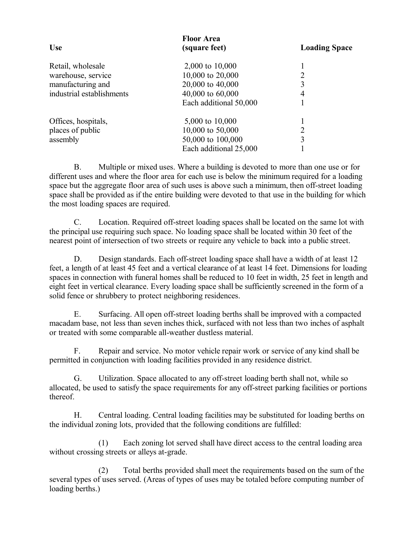| <b>Use</b>                | <b>Floor Area</b><br>(square feet) | <b>Loading Space</b> |
|---------------------------|------------------------------------|----------------------|
| Retail, wholesale         | 2,000 to 10,000                    |                      |
| warehouse, service        | 10,000 to 20,000                   | 2                    |
| manufacturing and         | 20,000 to 40,000                   | 3                    |
| industrial establishments | 40,000 to 60,000                   | 4                    |
|                           | Each additional 50,000             |                      |
| Offices, hospitals,       | 5,000 to 10,000                    |                      |
| places of public          | 10,000 to 50,000                   | 2                    |
| assembly                  | 50,000 to 100,000                  | 3                    |
|                           | Each additional 25,000             |                      |

B. Multiple or mixed uses. Where a building is devoted to more than one use or for different uses and where the floor area for each use is below the minimum required for a loading space but the aggregate floor area of such uses is above such a minimum, then off-street loading space shall be provided as if the entire building were devoted to that use in the building for which the most loading spaces are required.

C. Location. Required off-street loading spaces shall be located on the same lot with the principal use requiring such space. No loading space shall be located within 30 feet of the nearest point of intersection of two streets or require any vehicle to back into a public street.

D. Design standards. Each off-street loading space shall have a width of at least 12 feet, a length of at least 45 feet and a vertical clearance of at least 14 feet. Dimensions for loading spaces in connection with funeral homes shall be reduced to 10 feet in width, 25 feet in length and eight feet in vertical clearance. Every loading space shall be sufficiently screened in the form of a solid fence or shrubbery to protect neighboring residences.

E. Surfacing. All open off-street loading berths shall be improved with a compacted macadam base, not less than seven inches thick, surfaced with not less than two inches of asphalt or treated with some comparable all-weather dustless material.

F. Repair and service. No motor vehicle repair work or service of any kind shall be permitted in conjunction with loading facilities provided in any residence district.

G. Utilization. Space allocated to any off-street loading berth shall not, while so allocated, be used to satisfy the space requirements for any off-street parking facilities or portions thereof.

H. Central loading. Central loading facilities may be substituted for loading berths on the individual zoning lots, provided that the following conditions are fulfilled:

(1) Each zoning lot served shall have direct access to the central loading area without crossing streets or alleys at-grade.

(2) Total berths provided shall meet the requirements based on the sum of the several types of uses served. (Areas of types of uses may be totaled before computing number of loading berths.)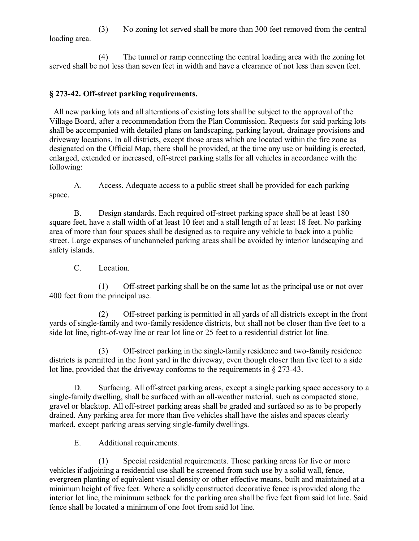(3) No zoning lot served shall be more than 300 feet removed from the central loading area.

(4) The tunnel or ramp connecting the central loading area with the zoning lot served shall be not less than seven feet in width and have a clearance of not less than seven feet.

# **§ 273-42. Off-street parking requirements.**

 All new parking lots and all alterations of existing lots shall be subject to the approval of the Village Board, after a recommendation from the Plan Commission. Requests for said parking lots shall be accompanied with detailed plans on landscaping, parking layout, drainage provisions and driveway locations. In all districts, except those areas which are located within the fire zone as designated on the Official Map, there shall be provided, at the time any use or building is erected, enlarged, extended or increased, off-street parking stalls for all vehicles in accordance with the following:

A. Access. Adequate access to a public street shall be provided for each parking space.

B. Design standards. Each required off-street parking space shall be at least 180 square feet, have a stall width of at least 10 feet and a stall length of at least 18 feet. No parking area of more than four spaces shall be designed as to require any vehicle to back into a public street. Large expanses of unchanneled parking areas shall be avoided by interior landscaping and safety islands.

C. Location.

(1) Off-street parking shall be on the same lot as the principal use or not over 400 feet from the principal use.

(2) Off-street parking is permitted in all yards of all districts except in the front yards of single-family and two-family residence districts, but shall not be closer than five feet to a side lot line, right-of-way line or rear lot line or 25 feet to a residential district lot line.

(3) Off-street parking in the single-family residence and two-family residence districts is permitted in the front yard in the driveway, even though closer than five feet to a side lot line, provided that the driveway conforms to the requirements in § 273-43.

D. Surfacing. All off-street parking areas, except a single parking space accessory to a single-family dwelling, shall be surfaced with an all-weather material, such as compacted stone, gravel or blacktop. All off-street parking areas shall be graded and surfaced so as to be properly drained. Any parking area for more than five vehicles shall have the aisles and spaces clearly marked, except parking areas serving single-family dwellings.

E. Additional requirements.

(1) Special residential requirements. Those parking areas for five or more vehicles if adjoining a residential use shall be screened from such use by a solid wall, fence, evergreen planting of equivalent visual density or other effective means, built and maintained at a minimum height of five feet. Where a solidly constructed decorative fence is provided along the interior lot line, the minimum setback for the parking area shall be five feet from said lot line. Said fence shall be located a minimum of one foot from said lot line.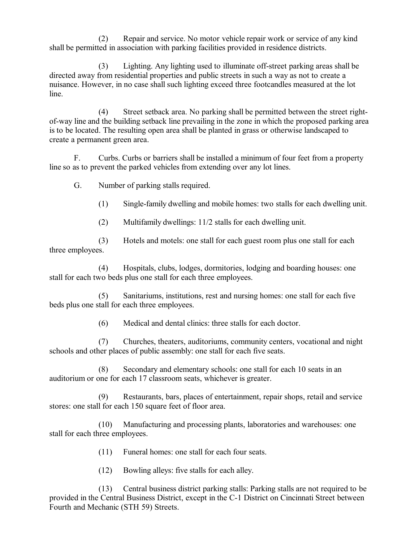(2) Repair and service. No motor vehicle repair work or service of any kind shall be permitted in association with parking facilities provided in residence districts.

(3) Lighting. Any lighting used to illuminate off-street parking areas shall be directed away from residential properties and public streets in such a way as not to create a nuisance. However, in no case shall such lighting exceed three footcandles measured at the lot line.

(4) Street setback area. No parking shall be permitted between the street rightof-way line and the building setback line prevailing in the zone in which the proposed parking area is to be located. The resulting open area shall be planted in grass or otherwise landscaped to create a permanent green area.

F. Curbs. Curbs or barriers shall be installed a minimum of four feet from a property line so as to prevent the parked vehicles from extending over any lot lines.

G. Number of parking stalls required.

(1) Single-family dwelling and mobile homes: two stalls for each dwelling unit.

(2) Multifamily dwellings: 11/2 stalls for each dwelling unit.

(3) Hotels and motels: one stall for each guest room plus one stall for each three employees.

(4) Hospitals, clubs, lodges, dormitories, lodging and boarding houses: one stall for each two beds plus one stall for each three employees.

(5) Sanitariums, institutions, rest and nursing homes: one stall for each five beds plus one stall for each three employees.

(6) Medical and dental clinics: three stalls for each doctor.

(7) Churches, theaters, auditoriums, community centers, vocational and night schools and other places of public assembly: one stall for each five seats.

(8) Secondary and elementary schools: one stall for each 10 seats in an auditorium or one for each 17 classroom seats, whichever is greater.

(9) Restaurants, bars, places of entertainment, repair shops, retail and service stores: one stall for each 150 square feet of floor area.

(10) Manufacturing and processing plants, laboratories and warehouses: one stall for each three employees.

(11) Funeral homes: one stall for each four seats.

(12) Bowling alleys: five stalls for each alley.

(13) Central business district parking stalls: Parking stalls are not required to be provided in the Central Business District, except in the C-1 District on Cincinnati Street between Fourth and Mechanic (STH 59) Streets.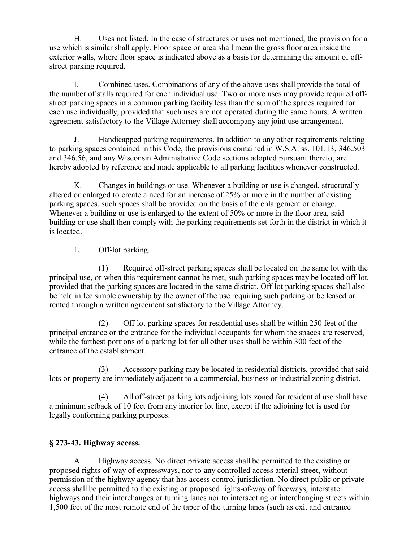H. Uses not listed. In the case of structures or uses not mentioned, the provision for a use which is similar shall apply. Floor space or area shall mean the gross floor area inside the exterior walls, where floor space is indicated above as a basis for determining the amount of offstreet parking required.

I. Combined uses. Combinations of any of the above uses shall provide the total of the number of stalls required for each individual use. Two or more uses may provide required offstreet parking spaces in a common parking facility less than the sum of the spaces required for each use individually, provided that such uses are not operated during the same hours. A written agreement satisfactory to the Village Attorney shall accompany any joint use arrangement.

J. Handicapped parking requirements. In addition to any other requirements relating to parking spaces contained in this Code, the provisions contained in W.S.A. ss. 101.13, 346.503 and 346.56, and any Wisconsin Administrative Code sections adopted pursuant thereto, are hereby adopted by reference and made applicable to all parking facilities whenever constructed.

K. Changes in buildings or use. Whenever a building or use is changed, structurally altered or enlarged to create a need for an increase of 25% or more in the number of existing parking spaces, such spaces shall be provided on the basis of the enlargement or change. Whenever a building or use is enlarged to the extent of 50% or more in the floor area, said building or use shall then comply with the parking requirements set forth in the district in which it is located.

## L. Off-lot parking.

(1) Required off-street parking spaces shall be located on the same lot with the principal use, or when this requirement cannot be met, such parking spaces may be located off-lot, provided that the parking spaces are located in the same district. Off-lot parking spaces shall also be held in fee simple ownership by the owner of the use requiring such parking or be leased or rented through a written agreement satisfactory to the Village Attorney.

(2) Off-lot parking spaces for residential uses shall be within 250 feet of the principal entrance or the entrance for the individual occupants for whom the spaces are reserved, while the farthest portions of a parking lot for all other uses shall be within 300 feet of the entrance of the establishment.

(3) Accessory parking may be located in residential districts, provided that said lots or property are immediately adjacent to a commercial, business or industrial zoning district.

(4) All off-street parking lots adjoining lots zoned for residential use shall have a minimum setback of 10 feet from any interior lot line, except if the adjoining lot is used for legally conforming parking purposes.

## **§ 273-43. Highway access.**

A. Highway access. No direct private access shall be permitted to the existing or proposed rights-of-way of expressways, nor to any controlled access arterial street, without permission of the highway agency that has access control jurisdiction. No direct public or private access shall be permitted to the existing or proposed rights-of-way of freeways, interstate highways and their interchanges or turning lanes nor to intersecting or interchanging streets within 1,500 feet of the most remote end of the taper of the turning lanes (such as exit and entrance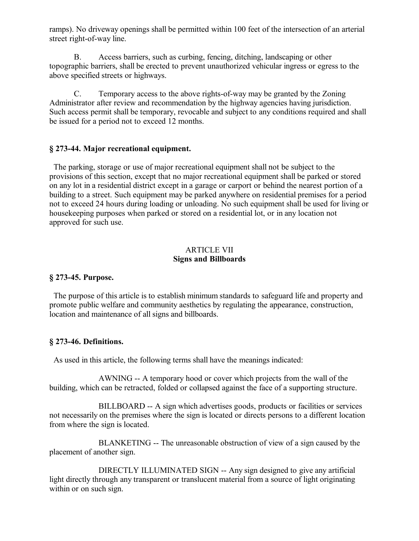ramps). No driveway openings shall be permitted within 100 feet of the intersection of an arterial street right-of-way line.

B. Access barriers, such as curbing, fencing, ditching, landscaping or other topographic barriers, shall be erected to prevent unauthorized vehicular ingress or egress to the above specified streets or highways.

C. Temporary access to the above rights-of-way may be granted by the Zoning Administrator after review and recommendation by the highway agencies having jurisdiction. Such access permit shall be temporary, revocable and subject to any conditions required and shall be issued for a period not to exceed 12 months.

## **§ 273-44. Major recreational equipment.**

 The parking, storage or use of major recreational equipment shall not be subject to the provisions of this section, except that no major recreational equipment shall be parked or stored on any lot in a residential district except in a garage or carport or behind the nearest portion of a building to a street. Such equipment may be parked anywhere on residential premises for a period not to exceed 24 hours during loading or unloading. No such equipment shall be used for living or housekeeping purposes when parked or stored on a residential lot, or in any location not approved for such use.

#### ARTICLE VII **Signs and Billboards**

## **§ 273-45. Purpose.**

 The purpose of this article is to establish minimum standards to safeguard life and property and promote public welfare and community aesthetics by regulating the appearance, construction, location and maintenance of all signs and billboards.

## **§ 273-46. Definitions.**

As used in this article, the following terms shall have the meanings indicated:

AWNING -- A temporary hood or cover which projects from the wall of the building, which can be retracted, folded or collapsed against the face of a supporting structure.

BILLBOARD -- A sign which advertises goods, products or facilities or services not necessarily on the premises where the sign is located or directs persons to a different location from where the sign is located.

BLANKETING -- The unreasonable obstruction of view of a sign caused by the placement of another sign.

DIRECTLY ILLUMINATED SIGN -- Any sign designed to give any artificial light directly through any transparent or translucent material from a source of light originating within or on such sign.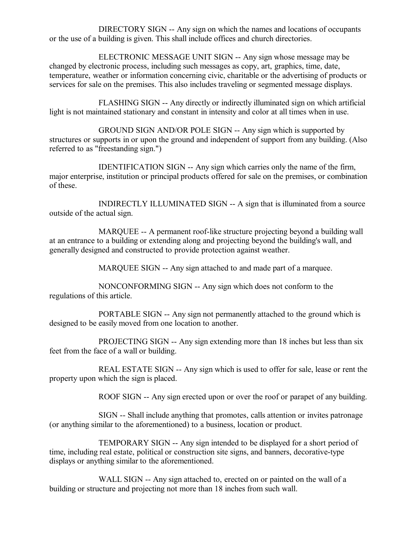DIRECTORY SIGN -- Any sign on which the names and locations of occupants or the use of a building is given. This shall include offices and church directories.

ELECTRONIC MESSAGE UNIT SIGN -- Any sign whose message may be changed by electronic process, including such messages as copy, art, graphics, time, date, temperature, weather or information concerning civic, charitable or the advertising of products or services for sale on the premises. This also includes traveling or segmented message displays.

FLASHING SIGN -- Any directly or indirectly illuminated sign on which artificial light is not maintained stationary and constant in intensity and color at all times when in use.

GROUND SIGN AND/OR POLE SIGN -- Any sign which is supported by structures or supports in or upon the ground and independent of support from any building. (Also referred to as "freestanding sign.")

IDENTIFICATION SIGN -- Any sign which carries only the name of the firm, major enterprise, institution or principal products offered for sale on the premises, or combination of these.

INDIRECTLY ILLUMINATED SIGN -- A sign that is illuminated from a source outside of the actual sign.

MARQUEE -- A permanent roof-like structure projecting beyond a building wall at an entrance to a building or extending along and projecting beyond the building's wall, and generally designed and constructed to provide protection against weather.

MARQUEE SIGN -- Any sign attached to and made part of a marquee.

NONCONFORMING SIGN -- Any sign which does not conform to the regulations of this article.

PORTABLE SIGN -- Any sign not permanently attached to the ground which is designed to be easily moved from one location to another.

PROJECTING SIGN -- Any sign extending more than 18 inches but less than six feet from the face of a wall or building.

REAL ESTATE SIGN -- Any sign which is used to offer for sale, lease or rent the property upon which the sign is placed.

ROOF SIGN -- Any sign erected upon or over the roof or parapet of any building.

SIGN -- Shall include anything that promotes, calls attention or invites patronage (or anything similar to the aforementioned) to a business, location or product.

TEMPORARY SIGN -- Any sign intended to be displayed for a short period of time, including real estate, political or construction site signs, and banners, decorative-type displays or anything similar to the aforementioned.

WALL SIGN -- Any sign attached to, erected on or painted on the wall of a building or structure and projecting not more than 18 inches from such wall.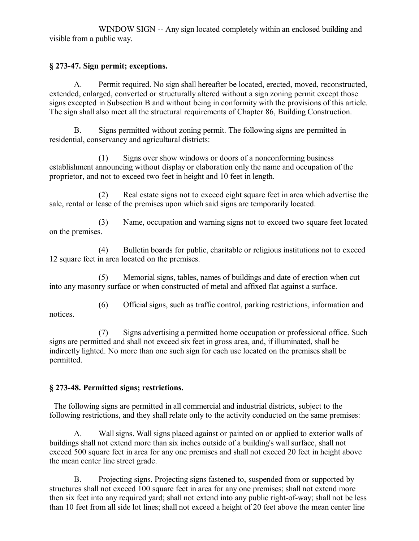WINDOW SIGN -- Any sign located completely within an enclosed building and visible from a public way.

# **§ 273-47. Sign permit; exceptions.**

A. Permit required. No sign shall hereafter be located, erected, moved, reconstructed, extended, enlarged, converted or structurally altered without a sign zoning permit except those signs excepted in Subsection B and without being in conformity with the provisions of this article. The sign shall also meet all the structural requirements of Chapter 86, Building Construction.

B. Signs permitted without zoning permit. The following signs are permitted in residential, conservancy and agricultural districts:

(1) Signs over show windows or doors of a nonconforming business establishment announcing without display or elaboration only the name and occupation of the proprietor, and not to exceed two feet in height and 10 feet in length.

(2) Real estate signs not to exceed eight square feet in area which advertise the sale, rental or lease of the premises upon which said signs are temporarily located.

(3) Name, occupation and warning signs not to exceed two square feet located on the premises.

(4) Bulletin boards for public, charitable or religious institutions not to exceed 12 square feet in area located on the premises.

(5) Memorial signs, tables, names of buildings and date of erection when cut into any masonry surface or when constructed of metal and affixed flat against a surface.

(6) Official signs, such as traffic control, parking restrictions, information and notices.

(7) Signs advertising a permitted home occupation or professional office. Such signs are permitted and shall not exceed six feet in gross area, and, if illuminated, shall be indirectly lighted. No more than one such sign for each use located on the premises shall be permitted.

# **§ 273-48. Permitted signs; restrictions.**

 The following signs are permitted in all commercial and industrial districts, subject to the following restrictions, and they shall relate only to the activity conducted on the same premises:

A. Wall signs. Wall signs placed against or painted on or applied to exterior walls of buildings shall not extend more than six inches outside of a building's wall surface, shall not exceed 500 square feet in area for any one premises and shall not exceed 20 feet in height above the mean center line street grade.

B. Projecting signs. Projecting signs fastened to, suspended from or supported by structures shall not exceed 100 square feet in area for any one premises; shall not extend more then six feet into any required yard; shall not extend into any public right-of-way; shall not be less than 10 feet from all side lot lines; shall not exceed a height of 20 feet above the mean center line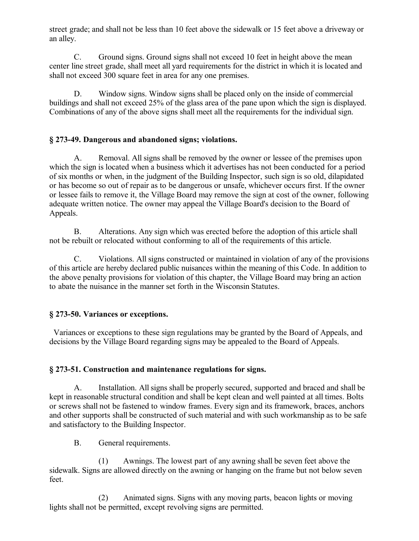street grade; and shall not be less than 10 feet above the sidewalk or 15 feet above a driveway or an alley.

C. Ground signs. Ground signs shall not exceed 10 feet in height above the mean center line street grade, shall meet all yard requirements for the district in which it is located and shall not exceed 300 square feet in area for any one premises.

D. Window signs. Window signs shall be placed only on the inside of commercial buildings and shall not exceed 25% of the glass area of the pane upon which the sign is displayed. Combinations of any of the above signs shall meet all the requirements for the individual sign.

## **§ 273-49. Dangerous and abandoned signs; violations.**

A. Removal. All signs shall be removed by the owner or lessee of the premises upon which the sign is located when a business which it advertises has not been conducted for a period of six months or when, in the judgment of the Building Inspector, such sign is so old, dilapidated or has become so out of repair as to be dangerous or unsafe, whichever occurs first. If the owner or lessee fails to remove it, the Village Board may remove the sign at cost of the owner, following adequate written notice. The owner may appeal the Village Board's decision to the Board of Appeals.

B. Alterations. Any sign which was erected before the adoption of this article shall not be rebuilt or relocated without conforming to all of the requirements of this article.

C. Violations. All signs constructed or maintained in violation of any of the provisions of this article are hereby declared public nuisances within the meaning of this Code. In addition to the above penalty provisions for violation of this chapter, the Village Board may bring an action to abate the nuisance in the manner set forth in the Wisconsin Statutes.

# **§ 273-50. Variances or exceptions.**

 Variances or exceptions to these sign regulations may be granted by the Board of Appeals, and decisions by the Village Board regarding signs may be appealed to the Board of Appeals.

### **§ 273-51. Construction and maintenance regulations for signs.**

A. Installation. All signs shall be properly secured, supported and braced and shall be kept in reasonable structural condition and shall be kept clean and well painted at all times. Bolts or screws shall not be fastened to window frames. Every sign and its framework, braces, anchors and other supports shall be constructed of such material and with such workmanship as to be safe and satisfactory to the Building Inspector.

B. General requirements.

(1) Awnings. The lowest part of any awning shall be seven feet above the sidewalk. Signs are allowed directly on the awning or hanging on the frame but not below seven feet.

(2) Animated signs. Signs with any moving parts, beacon lights or moving lights shall not be permitted, except revolving signs are permitted.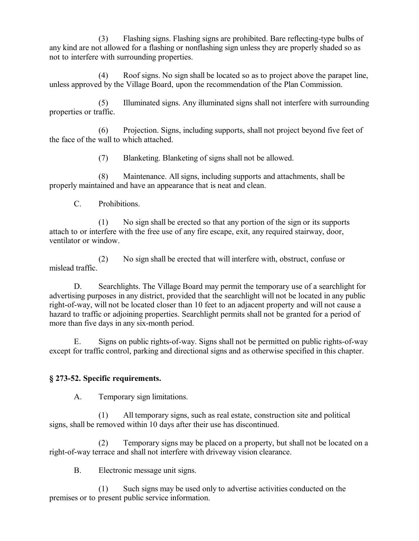(3) Flashing signs. Flashing signs are prohibited. Bare reflecting-type bulbs of any kind are not allowed for a flashing or nonflashing sign unless they are properly shaded so as not to interfere with surrounding properties.

(4) Roof signs. No sign shall be located so as to project above the parapet line, unless approved by the Village Board, upon the recommendation of the Plan Commission.

(5) Illuminated signs. Any illuminated signs shall not interfere with surrounding properties or traffic.

(6) Projection. Signs, including supports, shall not project beyond five feet of the face of the wall to which attached.

(7) Blanketing. Blanketing of signs shall not be allowed.

(8) Maintenance. All signs, including supports and attachments, shall be properly maintained and have an appearance that is neat and clean.

C. Prohibitions.

(1) No sign shall be erected so that any portion of the sign or its supports attach to or interfere with the free use of any fire escape, exit, any required stairway, door, ventilator or window.

(2) No sign shall be erected that will interfere with, obstruct, confuse or mislead traffic.

D. Searchlights. The Village Board may permit the temporary use of a searchlight for advertising purposes in any district, provided that the searchlight will not be located in any public right-of-way, will not be located closer than 10 feet to an adjacent property and will not cause a hazard to traffic or adjoining properties. Searchlight permits shall not be granted for a period of more than five days in any six-month period.

E. Signs on public rights-of-way. Signs shall not be permitted on public rights-of-way except for traffic control, parking and directional signs and as otherwise specified in this chapter.

### **§ 273-52. Specific requirements.**

A. Temporary sign limitations.

(1) All temporary signs, such as real estate, construction site and political signs, shall be removed within 10 days after their use has discontinued.

(2) Temporary signs may be placed on a property, but shall not be located on a right-of-way terrace and shall not interfere with driveway vision clearance.

B. Electronic message unit signs.

(1) Such signs may be used only to advertise activities conducted on the premises or to present public service information.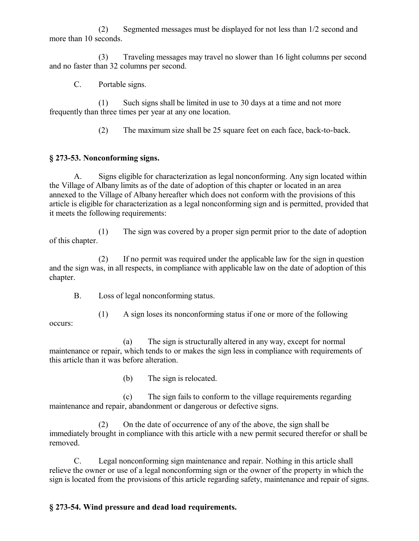(2) Segmented messages must be displayed for not less than 1/2 second and more than 10 seconds.

(3) Traveling messages may travel no slower than 16 light columns per second and no faster than 32 columns per second.

C. Portable signs.

(1) Such signs shall be limited in use to 30 days at a time and not more frequently than three times per year at any one location.

(2) The maximum size shall be 25 square feet on each face, back-to-back.

# **§ 273-53. Nonconforming signs.**

A. Signs eligible for characterization as legal nonconforming. Any sign located within the Village of Albany limits as of the date of adoption of this chapter or located in an area annexed to the Village of Albany hereafter which does not conform with the provisions of this article is eligible for characterization as a legal nonconforming sign and is permitted, provided that it meets the following requirements:

(1) The sign was covered by a proper sign permit prior to the date of adoption of this chapter.

(2) If no permit was required under the applicable law for the sign in question and the sign was, in all respects, in compliance with applicable law on the date of adoption of this chapter.

B. Loss of legal nonconforming status.

(1) A sign loses its nonconforming status if one or more of the following occurs:

(a) The sign is structurally altered in any way, except for normal maintenance or repair, which tends to or makes the sign less in compliance with requirements of this article than it was before alteration.

(b) The sign is relocated.

(c) The sign fails to conform to the village requirements regarding maintenance and repair, abandonment or dangerous or defective signs.

(2) On the date of occurrence of any of the above, the sign shall be immediately brought in compliance with this article with a new permit secured therefor or shall be removed.

C. Legal nonconforming sign maintenance and repair. Nothing in this article shall relieve the owner or use of a legal nonconforming sign or the owner of the property in which the sign is located from the provisions of this article regarding safety, maintenance and repair of signs.

# **§ 273-54. Wind pressure and dead load requirements.**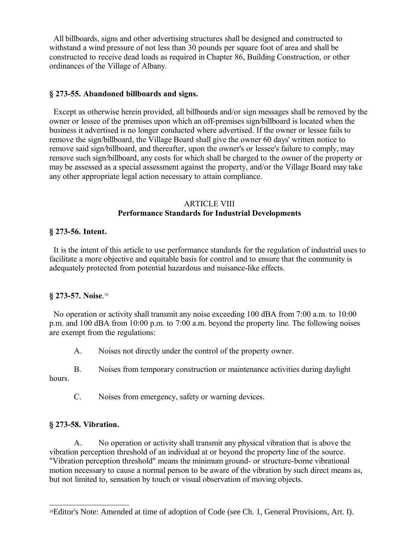All billboards, signs and other advertising structures shall be designed and constructed to withstand a wind pressure of not less than 30 pounds per square foot of area and shall be constructed to receive dead loads as required in Chapter 86, Building Construction, or other ordinances of the Village of Albany.

#### **§ 273-55. Abandoned billboards and signs.**

 Except as otherwise herein provided, all billboards and/or sign messages shall be removed by the owner or lessee of the premises upon which an off-premises sign/billboard is located when the business it advertised is no longer conducted where advertised. If the owner or lessee fails to remove the sign/billboard, the Village Board shall give the owner 60 days' written notice to remove said sign/billboard, and thereafter, upon the owner's or lessee's failure to comply, may remove such sign/billboard, any costs for which shall be charged to the owner of the property or may be assessed as a special assessment against the property, and/or the Village Board may take any other appropriate legal action necessary to attain compliance.

#### ARTICLE VIII **Performance Standards for Industrial Developments**

#### **§ 273-56. Intent.**

 It is the intent of this article to use performance standards for the regulation of industrial uses to facilitate a more objective and equitable basis for control and to ensure that the community is adequately protected from potential hazardous and nuisance-like effects.

#### **§ 273-57. Noise**. [10](#page-39-0)

 No operation or activity shall transmit any noise exceeding 100 dBA from 7:00 a.m. to 10:00 p.m. and 100 dBA from 10:00 p.m. to 7:00 a.m. beyond the property line. The following noises are exempt from the regulations:

A. Noises not directly under the control of the property owner.

B. Noises from temporary construction or maintenance activities during daylight hours.

C. Noises from emergency, safety or warning devices.

#### **§ 273-58. Vibration.**

A. No operation or activity shall transmit any physical vibration that is above the vibration perception threshold of an individual at or beyond the property line of the source. "Vibration perception threshold" means the minimum ground- or structure-borne vibrational motion necessary to cause a normal person to be aware of the vibration by such direct means as, but not limited to, sensation by touch or visual observation of moving objects.

<span id="page-39-0"></span><sup>10</sup>Editor's Note: Amended at time of adoption of Code (see Ch. 1, General Provisions, Art. I).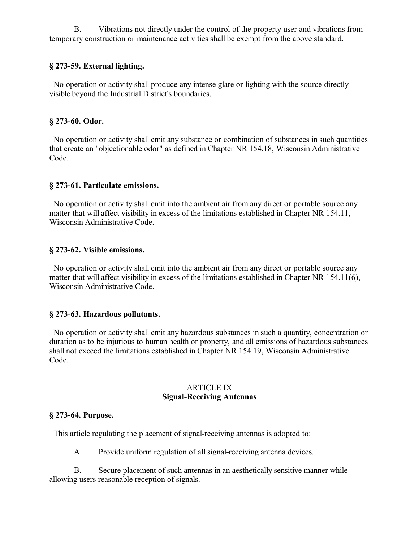B. Vibrations not directly under the control of the property user and vibrations from temporary construction or maintenance activities shall be exempt from the above standard.

### **§ 273-59. External lighting.**

 No operation or activity shall produce any intense glare or lighting with the source directly visible beyond the Industrial District's boundaries.

### **§ 273-60. Odor.**

 No operation or activity shall emit any substance or combination of substances in such quantities that create an "objectionable odor" as defined in Chapter NR 154.18, Wisconsin Administrative Code.

#### **§ 273-61. Particulate emissions.**

 No operation or activity shall emit into the ambient air from any direct or portable source any matter that will affect visibility in excess of the limitations established in Chapter NR 154.11, Wisconsin Administrative Code.

#### **§ 273-62. Visible emissions.**

 No operation or activity shall emit into the ambient air from any direct or portable source any matter that will affect visibility in excess of the limitations established in Chapter NR 154.11(6), Wisconsin Administrative Code.

### **§ 273-63. Hazardous pollutants.**

 No operation or activity shall emit any hazardous substances in such a quantity, concentration or duration as to be injurious to human health or property, and all emissions of hazardous substances shall not exceed the limitations established in Chapter NR 154.19, Wisconsin Administrative Code.

#### ARTICLE IX **Signal-Receiving Antennas**

#### **§ 273-64. Purpose.**

This article regulating the placement of signal-receiving antennas is adopted to:

A. Provide uniform regulation of all signal-receiving antenna devices.

B. Secure placement of such antennas in an aesthetically sensitive manner while allowing users reasonable reception of signals.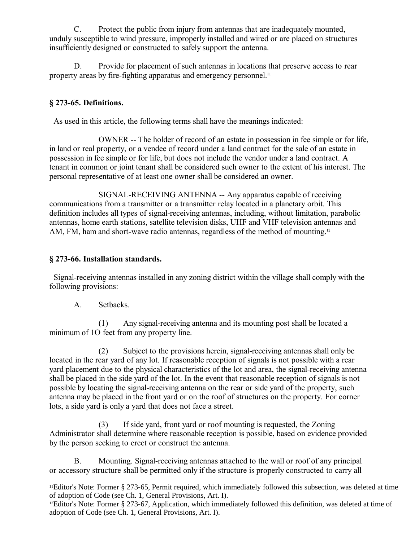C. Protect the public from injury from antennas that are inadequately mounted, unduly susceptible to wind pressure, improperly installed and wired or are placed on structures insufficiently designed or constructed to safely support the antenna.

D. Provide for placement of such antennas in locations that preserve access to rear property areas by fire-fighting apparatus and emergency personnel.<sup>[11](#page-41-0)</sup>

# **§ 273-65. Definitions.**

As used in this article, the following terms shall have the meanings indicated:

OWNER -- The holder of record of an estate in possession in fee simple or for life, in land or real property, or a vendee of record under a land contract for the sale of an estate in possession in fee simple or for life, but does not include the vendor under a land contract. A tenant in common or joint tenant shall be considered such owner to the extent of his interest. The personal representative of at least one owner shall be considered an owner.

SIGNAL-RECEIVING ANTENNA -- Any apparatus capable of receiving communications from a transmitter or a transmitter relay located in a planetary orbit. This definition includes all types of signal-receiving antennas, including, without limitation, parabolic antennas, home earth stations, satellite television disks, UHF and VHF television antennas and AM, FM, ham and short-wave radio antennas, regardless of the method of mounting.<sup>[12](#page-41-1)</sup>

# **§ 273-66. Installation standards.**

 Signal-receiving antennas installed in any zoning district within the village shall comply with the following provisions:

A. Setbacks.

(1) Any signal-receiving antenna and its mounting post shall be located a minimum of 1O feet from any property line.

(2) Subject to the provisions herein, signal-receiving antennas shall only be located in the rear yard of any lot. If reasonable reception of signals is not possible with a rear yard placement due to the physical characteristics of the lot and area, the signal-receiving antenna shall be placed in the side yard of the lot. In the event that reasonable reception of signals is not possible by locating the signal-receiving antenna on the rear or side yard of the property, such antenna may be placed in the front yard or on the roof of structures on the property. For corner lots, a side yard is only a yard that does not face a street.

(3) If side yard, front yard or roof mounting is requested, the Zoning Administrator shall determine where reasonable reception is possible, based on evidence provided by the person seeking to erect or construct the antenna.

B. Mounting. Signal-receiving antennas attached to the wall or roof of any principal or accessory structure shall be permitted only if the structure is properly constructed to carry all

<span id="page-41-0"></span><sup>11</sup>Editor's Note: Former § 273-65, Permit required, which immediately followed this subsection, was deleted at time of adoption of Code (see Ch. 1, General Provisions, Art. I).

<span id="page-41-1"></span><sup>12</sup>Editor's Note: Former § 273-67, Application, which immediately followed this definition, was deleted at time of adoption of Code (see Ch. 1, General Provisions, Art. I).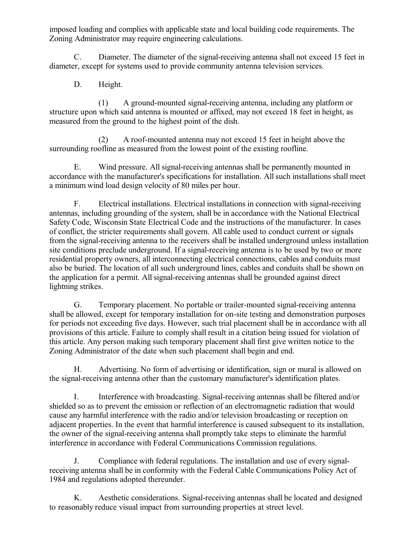imposed loading and complies with applicable state and local building code requirements. The Zoning Administrator may require engineering calculations.

C. Diameter. The diameter of the signal-receiving antenna shall not exceed 15 feet in diameter, except for systems used to provide community antenna television services.

D. Height.

(1) A ground-mounted signal-receiving antenna, including any platform or structure upon which said antenna is mounted or affixed, may not exceed 18 feet in height, as measured from the ground to the highest point of the dish.

(2) A roof-mounted antenna may not exceed 15 feet in height above the surrounding roofline as measured from the lowest point of the existing roofline.

E. Wind pressure. All signal-receiving antennas shall be permanently mounted in accordance with the manufacturer's specifications for installation. All such installations shall meet a minimum wind load design velocity of 80 miles per hour.

F. Electrical installations. Electrical installations in connection with signal-receiving antennas, including grounding of the system, shall be in accordance with the National Electrical Safety Code, Wisconsin State Electrical Code and the instructions of the manufacturer. In cases of conflict, the stricter requirements shall govern. All cable used to conduct current or signals from the signal-receiving antenna to the receivers shall be installed underground unless installation site conditions preclude underground. If a signal-receiving antenna is to be used by two or more residential property owners, all interconnecting electrical connections, cables and conduits must also be buried. The location of all such underground lines, cables and conduits shall be shown on the application for a permit. All signal-receiving antennas shall be grounded against direct lightning strikes.

G. Temporary placement. No portable or trailer-mounted signal-receiving antenna shall be allowed, except for temporary installation for on-site testing and demonstration purposes for periods not exceeding five days. However, such trial placement shall be in accordance with all provisions of this article. Failure to comply shall result in a citation being issued for violation of this article. Any person making such temporary placement shall first give written notice to the Zoning Administrator of the date when such placement shall begin and end.

H. Advertising. No form of advertising or identification, sign or mural is allowed on the signal-receiving antenna other than the customary manufacturer's identification plates.

I. Interference with broadcasting. Signal-receiving antennas shall be filtered and/or shielded so as to prevent the emission or reflection of an electromagnetic radiation that would cause any harmful interference with the radio and/or television broadcasting or reception on adjacent properties. In the event that harmful interference is caused subsequent to its installation, the owner of the signal-receiving antenna shall promptly take steps to eliminate the harmful interference in accordance with Federal Communications Commission regulations.

J. Compliance with federal regulations. The installation and use of every signalreceiving antenna shall be in conformity with the Federal Cable Communications Policy Act of 1984 and regulations adopted thereunder.

K. Aesthetic considerations. Signal-receiving antennas shall be located and designed to reasonably reduce visual impact from surrounding properties at street level.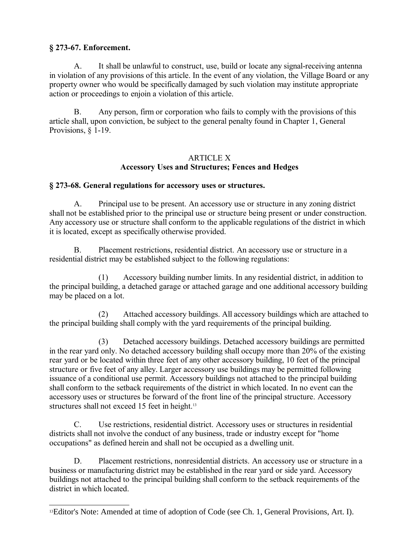## **§ 273-67. Enforcement.**

A. It shall be unlawful to construct, use, build or locate any signal-receiving antenna in violation of any provisions of this article. In the event of any violation, the Village Board or any property owner who would be specifically damaged by such violation may institute appropriate action or proceedings to enjoin a violation of this article.

B. Any person, firm or corporation who fails to comply with the provisions of this article shall, upon conviction, be subject to the general penalty found in Chapter 1, General Provisions, § 1-19.

### ARTICLE X **Accessory Uses and Structures; Fences and Hedges**

### **§ 273-68. General regulations for accessory uses or structures.**

A. Principal use to be present. An accessory use or structure in any zoning district shall not be established prior to the principal use or structure being present or under construction. Any accessory use or structure shall conform to the applicable regulations of the district in which it is located, except as specifically otherwise provided.

B. Placement restrictions, residential district. An accessory use or structure in a residential district may be established subject to the following regulations:

(1) Accessory building number limits. In any residential district, in addition to the principal building, a detached garage or attached garage and one additional accessory building may be placed on a lot.

(2) Attached accessory buildings. All accessory buildings which are attached to the principal building shall comply with the yard requirements of the principal building.

(3) Detached accessory buildings. Detached accessory buildings are permitted in the rear yard only. No detached accessory building shall occupy more than 20% of the existing rear yard or be located within three feet of any other accessory building, 10 feet of the principal structure or five feet of any alley. Larger accessory use buildings may be permitted following issuance of a conditional use permit. Accessory buildings not attached to the principal building shall conform to the setback requirements of the district in which located. In no event can the accessory uses or structures be forward of the front line of the principal structure. Accessory structures shall not exceed 15 feet in height.<sup>[13](#page-43-0)</sup>

C. Use restrictions, residential district. Accessory uses or structures in residential districts shall not involve the conduct of any business, trade or industry except for "home occupations" as defined herein and shall not be occupied as a dwelling unit.

D. Placement restrictions, nonresidential districts. An accessory use or structure in a business or manufacturing district may be established in the rear yard or side yard. Accessory buildings not attached to the principal building shall conform to the setback requirements of the district in which located.

<span id="page-43-0"></span><sup>13</sup>Editor's Note: Amended at time of adoption of Code (see Ch. 1, General Provisions, Art. I).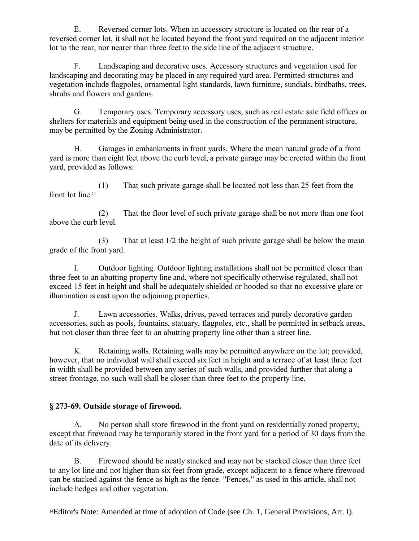E. Reversed corner lots. When an accessory structure is located on the rear of a reversed corner lot, it shall not be located beyond the front yard required on the adjacent interior lot to the rear, nor nearer than three feet to the side line of the adjacent structure.

F. Landscaping and decorative uses. Accessory structures and vegetation used for landscaping and decorating may be placed in any required yard area. Permitted structures and vegetation include flagpoles, ornamental light standards, lawn furniture, sundials, birdbaths, trees, shrubs and flowers and gardens.

G. Temporary uses. Temporary accessory uses, such as real estate sale field offices or shelters for materials and equipment being used in the construction of the permanent structure, may be permitted by the Zoning Administrator.

H. Garages in embankments in front yards. Where the mean natural grade of a front yard is more than eight feet above the curb level, a private garage may be erected within the front yard, provided as follows:

(1) That such private garage shall be located not less than 25 feet from the front lot line.<sup>[14](#page-44-0)</sup>

(2) That the floor level of such private garage shall be not more than one foot above the curb level.

(3) That at least 1/2 the height of such private garage shall be below the mean grade of the front yard.

I. Outdoor lighting. Outdoor lighting installations shall not be permitted closer than three feet to an abutting property line and, where not specifically otherwise regulated, shall not exceed 15 feet in height and shall be adequately shielded or hooded so that no excessive glare or illumination is cast upon the adjoining properties.

J. Lawn accessories. Walks, drives, paved terraces and purely decorative garden accessories, such as pools, fountains, statuary, flagpoles, etc., shall be permitted in setback areas, but not closer than three feet to an abutting property line other than a street line.

K. Retaining walls. Retaining walls may be permitted anywhere on the lot; provided, however, that no individual wall shall exceed six feet in height and a terrace of at least three feet in width shall be provided between any series of such walls, and provided further that along a street frontage, no such wall shall be closer than three feet to the property line.

# **§ 273-69. Outside storage of firewood.**

A. No person shall store firewood in the front yard on residentially zoned property, except that firewood may be temporarily stored in the front yard for a period of 30 days from the date of its delivery.

B. Firewood should be neatly stacked and may not be stacked closer than three feet to any lot line and not higher than six feet from grade, except adjacent to a fence where firewood can be stacked against the fence as high as the fence. "Fences," as used in this article, shall not include hedges and other vegetation.

<span id="page-44-0"></span><sup>&</sup>lt;sup>14</sup>Editor's Note: Amended at time of adoption of Code (see Ch. 1, General Provisions, Art. I).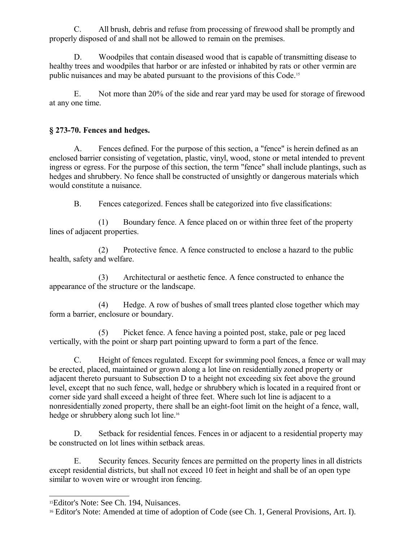C. All brush, debris and refuse from processing of firewood shall be promptly and properly disposed of and shall not be allowed to remain on the premises.

D. Woodpiles that contain diseased wood that is capable of transmitting disease to healthy trees and woodpiles that harbor or are infested or inhabited by rats or other vermin are public nuisances and may be abated pursuant to the provisions of this Code.[15](#page-45-0)

E. Not more than 20% of the side and rear yard may be used for storage of firewood at any one time.

## **§ 273-70. Fences and hedges.**

A. Fences defined. For the purpose of this section, a "fence" is herein defined as an enclosed barrier consisting of vegetation, plastic, vinyl, wood, stone or metal intended to prevent ingress or egress. For the purpose of this section, the term "fence" shall include plantings, such as hedges and shrubbery. No fence shall be constructed of unsightly or dangerous materials which would constitute a nuisance.

B. Fences categorized. Fences shall be categorized into five classifications:

(1) Boundary fence. A fence placed on or within three feet of the property lines of adjacent properties.

(2) Protective fence. A fence constructed to enclose a hazard to the public health, safety and welfare.

(3) Architectural or aesthetic fence. A fence constructed to enhance the appearance of the structure or the landscape.

(4) Hedge. A row of bushes of small trees planted close together which may form a barrier, enclosure or boundary.

(5) Picket fence. A fence having a pointed post, stake, pale or peg laced vertically, with the point or sharp part pointing upward to form a part of the fence.

C. Height of fences regulated. Except for swimming pool fences, a fence or wall may be erected, placed, maintained or grown along a lot line on residentially zoned property or adjacent thereto pursuant to Subsection D to a height not exceeding six feet above the ground level, except that no such fence, wall, hedge or shrubbery which is located in a required front or corner side yard shall exceed a height of three feet. Where such lot line is adjacent to a nonresidentially zoned property, there shall be an eight-foot limit on the height of a fence, wall, hedge or shrubbery along such lot line.<sup>[16](#page-45-1)</sup>

D. Setback for residential fences. Fences in or adjacent to a residential property may be constructed on lot lines within setback areas.

E. Security fences. Security fences are permitted on the property lines in all districts except residential districts, but shall not exceed 10 feet in height and shall be of an open type similar to woven wire or wrought iron fencing.

<span id="page-45-0"></span><sup>15</sup>Editor's Note: See Ch. 194, Nuisances.

<span id="page-45-1"></span><sup>16</sup> Editor's Note: Amended at time of adoption of Code (see Ch. 1, General Provisions, Art. I).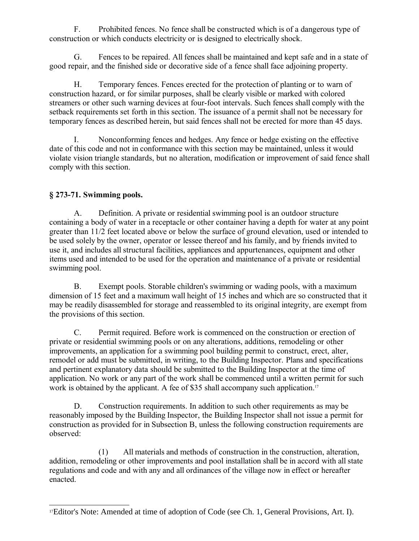F. Prohibited fences. No fence shall be constructed which is of a dangerous type of construction or which conducts electricity or is designed to electrically shock.

G. Fences to be repaired. All fences shall be maintained and kept safe and in a state of good repair, and the finished side or decorative side of a fence shall face adjoining property.

H. Temporary fences. Fences erected for the protection of planting or to warn of construction hazard, or for similar purposes, shall be clearly visible or marked with colored streamers or other such warning devices at four-foot intervals. Such fences shall comply with the setback requirements set forth in this section. The issuance of a permit shall not be necessary for temporary fences as described herein, but said fences shall not be erected for more than 45 days.

I. Nonconforming fences and hedges. Any fence or hedge existing on the effective date of this code and not in conformance with this section may be maintained, unless it would violate vision triangle standards, but no alteration, modification or improvement of said fence shall comply with this section.

# **§ 273-71. Swimming pools.**

A. Definition. A private or residential swimming pool is an outdoor structure containing a body of water in a receptacle or other container having a depth for water at any point greater than 11/2 feet located above or below the surface of ground elevation, used or intended to be used solely by the owner, operator or lessee thereof and his family, and by friends invited to use it, and includes all structural facilities, appliances and appurtenances, equipment and other items used and intended to be used for the operation and maintenance of a private or residential swimming pool.

B. Exempt pools. Storable children's swimming or wading pools, with a maximum dimension of 15 feet and a maximum wall height of 15 inches and which are so constructed that it may be readily disassembled for storage and reassembled to its original integrity, are exempt from the provisions of this section.

C. Permit required. Before work is commenced on the construction or erection of private or residential swimming pools or on any alterations, additions, remodeling or other improvements, an application for a swimming pool building permit to construct, erect, alter, remodel or add must be submitted, in writing, to the Building Inspector. Plans and specifications and pertinent explanatory data should be submitted to the Building Inspector at the time of application. No work or any part of the work shall be commenced until a written permit for such work is obtained by the applicant. A fee of \$35 shall accompany such application.<sup>[17](#page-46-0)</sup>

D. Construction requirements. In addition to such other requirements as may be reasonably imposed by the Building Inspector, the Building Inspector shall not issue a permit for construction as provided for in Subsection B, unless the following construction requirements are observed:

(1) All materials and methods of construction in the construction, alteration, addition, remodeling or other improvements and pool installation shall be in accord with all state regulations and code and with any and all ordinances of the village now in effect or hereafter enacted.

<span id="page-46-0"></span><sup>17</sup>Editor's Note: Amended at time of adoption of Code (see Ch. 1, General Provisions, Art. I).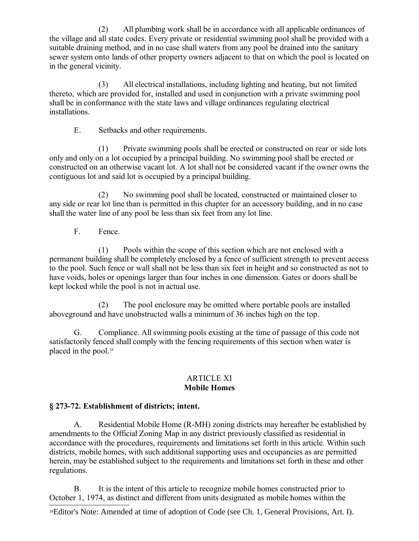(2) All plumbing work shall be in accordance with all applicable ordinances of the village and all state codes. Every private or residential swimming pool shall be provided with a suitable draining method, and in no case shall waters from any pool be drained into the sanitary sewer system onto lands of other property owners adjacent to that on which the pool is located on in the general vicinity.

(3) All electrical installations, including lighting and heating, but not limited thereto, which are provided for, installed and used in conjunction with a private swimming pool shall be in conformance with the state laws and village ordinances regulating electrical installations.

E. Setbacks and other requirements.

(1) Private swimming pools shall be erected or constructed on rear or side lots only and only on a lot occupied by a principal building. No swimming pool shall be erected or constructed on an otherwise vacant lot. A lot shall not be considered vacant if the owner owns the contiguous lot and said lot is occupied by a principal building.

(2) No swimming pool shall be located, constructed or maintained closer to any side or rear lot line than is permitted in this chapter for an accessory building, and in no case shall the water line of any pool be less than six feet from any lot line.

F. Fence.

(1) Pools within the scope of this section which are not enclosed with a permanent building shall be completely enclosed by a fence of sufficient strength to prevent access to the pool. Such fence or wall shall not be less than six feet in height and so constructed as not to have voids, holes or openings larger than four inches in one dimension. Gates or doors shall be kept locked while the pool is not in actual use.

(2) The pool enclosure may be omitted where portable pools are installed aboveground and have unobstructed walls a minimum of 36 inches high on the top.

G. Compliance. All swimming pools existing at the time of passage of this code not satisfactorily fenced shall comply with the fencing requirements of this section when water is placed in the pool.<sup>[18](#page-47-0)</sup>

#### ARTICLE XI **Mobile Homes**

### **§ 273-72. Establishment of districts; intent.**

A. Residential Mobile Home (R-MH) zoning districts may hereafter be established by amendments to the Official Zoning Map in any district previously classified as residential in accordance with the procedures, requirements and limitations set forth in this article. Within such districts, mobile homes, with such additional supporting uses and occupancies as are permitted herein, may be established subject to the requirements and limitations set forth in these and other regulations.

B. It is the intent of this article to recognize mobile homes constructed prior to October 1, 1974, as distinct and different from units designated as mobile homes within the

<span id="page-47-0"></span>18Editor's Note: Amended at time of adoption of Code (see Ch. 1, General Provisions, Art. I).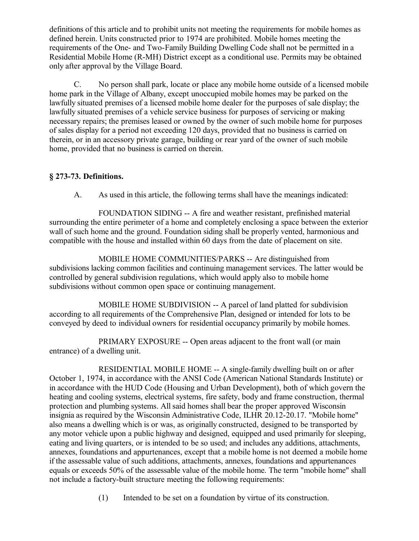definitions of this article and to prohibit units not meeting the requirements for mobile homes as defined herein. Units constructed prior to 1974 are prohibited. Mobile homes meeting the requirements of the One- and Two-Family Building Dwelling Code shall not be permitted in a Residential Mobile Home (R-MH) District except as a conditional use. Permits may be obtained only after approval by the Village Board.

C. No person shall park, locate or place any mobile home outside of a licensed mobile home park in the Village of Albany, except unoccupied mobile homes may be parked on the lawfully situated premises of a licensed mobile home dealer for the purposes of sale display; the lawfully situated premises of a vehicle service business for purposes of servicing or making necessary repairs; the premises leased or owned by the owner of such mobile home for purposes of sales display for a period not exceeding 120 days, provided that no business is carried on therein, or in an accessory private garage, building or rear yard of the owner of such mobile home, provided that no business is carried on therein.

## **§ 273-73. Definitions.**

A. As used in this article, the following terms shall have the meanings indicated:

FOUNDATION SIDING -- A fire and weather resistant, prefinished material surrounding the entire perimeter of a home and completely enclosing a space between the exterior wall of such home and the ground. Foundation siding shall be properly vented, harmonious and compatible with the house and installed within 60 days from the date of placement on site.

MOBILE HOME COMMUNITIES/PARKS -- Are distinguished from subdivisions lacking common facilities and continuing management services. The latter would be controlled by general subdivision regulations, which would apply also to mobile home subdivisions without common open space or continuing management.

MOBILE HOME SUBDIVISION -- A parcel of land platted for subdivision according to all requirements of the Comprehensive Plan, designed or intended for lots to be conveyed by deed to individual owners for residential occupancy primarily by mobile homes.

PRIMARY EXPOSURE -- Open areas adjacent to the front wall (or main entrance) of a dwelling unit.

RESIDENTIAL MOBILE HOME -- A single-family dwelling built on or after October 1, 1974, in accordance with the ANSI Code (American National Standards Institute) or in accordance with the HUD Code (Housing and Urban Development), both of which govern the heating and cooling systems, electrical systems, fire safety, body and frame construction, thermal protection and plumbing systems. All said homes shall bear the proper approved Wisconsin insignia as required by the Wisconsin Administrative Code, ILHR 20.12-20.17. "Mobile home" also means a dwelling which is or was, as originally constructed, designed to be transported by any motor vehicle upon a public highway and designed, equipped and used primarily for sleeping, eating and living quarters, or is intended to be so used; and includes any additions, attachments, annexes, foundations and appurtenances, except that a mobile home is not deemed a mobile home if the assessable value of such additions, attachments, annexes, foundations and appurtenances equals or exceeds 50% of the assessable value of the mobile home. The term "mobile home" shall not include a factory-built structure meeting the following requirements:

(1) Intended to be set on a foundation by virtue of its construction.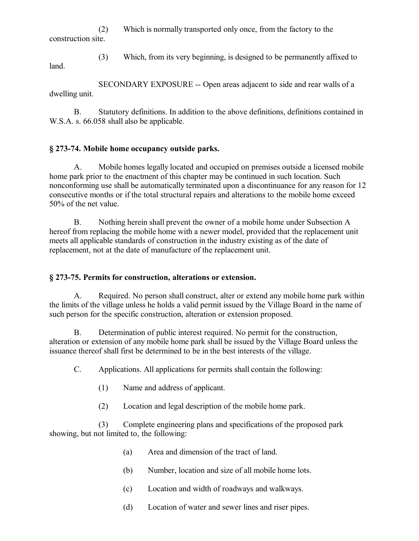(2) Which is normally transported only once, from the factory to the construction site.

(3) Which, from its very beginning, is designed to be permanently affixed to

land.

SECONDARY EXPOSURE -- Open areas adjacent to side and rear walls of a dwelling unit.

B. Statutory definitions. In addition to the above definitions, definitions contained in W.S.A. s. 66.058 shall also be applicable.

## **§ 273-74. Mobile home occupancy outside parks.**

A. Mobile homes legally located and occupied on premises outside a licensed mobile home park prior to the enactment of this chapter may be continued in such location. Such nonconforming use shall be automatically terminated upon a discontinuance for any reason for 12 consecutive months or if the total structural repairs and alterations to the mobile home exceed 50% of the net value.

B. Nothing herein shall prevent the owner of a mobile home under Subsection A hereof from replacing the mobile home with a newer model, provided that the replacement unit meets all applicable standards of construction in the industry existing as of the date of replacement, not at the date of manufacture of the replacement unit.

### **§ 273-75. Permits for construction, alterations or extension.**

A. Required. No person shall construct, alter or extend any mobile home park within the limits of the village unless he holds a valid permit issued by the Village Board in the name of such person for the specific construction, alteration or extension proposed.

B. Determination of public interest required. No permit for the construction, alteration or extension of any mobile home park shall be issued by the Village Board unless the issuance thereof shall first be determined to be in the best interests of the village.

C. Applications. All applications for permits shall contain the following:

- (1) Name and address of applicant.
- (2) Location and legal description of the mobile home park.

(3) Complete engineering plans and specifications of the proposed park showing, but not limited to, the following:

- (a) Area and dimension of the tract of land.
- (b) Number, location and size of all mobile home lots.
- (c) Location and width of roadways and walkways.
- (d) Location of water and sewer lines and riser pipes.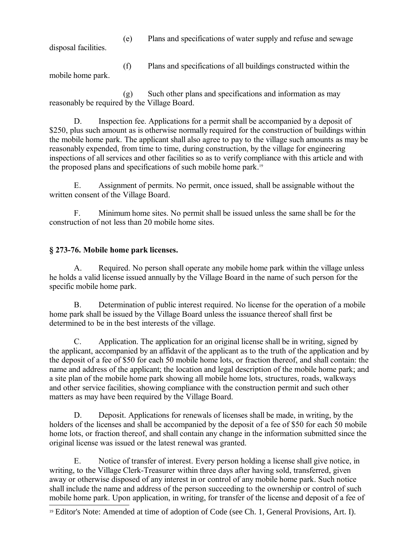(e) Plans and specifications of water supply and refuse and sewage

disposal facilities.

(f) Plans and specifications of all buildings constructed within the mobile home park.

(g) Such other plans and specifications and information as may reasonably be required by the Village Board.

D. Inspection fee. Applications for a permit shall be accompanied by a deposit of \$250, plus such amount as is otherwise normally required for the construction of buildings within the mobile home park. The applicant shall also agree to pay to the village such amounts as may be reasonably expended, from time to time, during construction, by the village for engineering inspections of all services and other facilities so as to verify compliance with this article and with the proposed plans and specifications of such mobile home park.[19](#page-50-0)

E. Assignment of permits. No permit, once issued, shall be assignable without the written consent of the Village Board.

F. Minimum home sites. No permit shall be issued unless the same shall be for the construction of not less than 20 mobile home sites.

# **§ 273-76. Mobile home park licenses.**

A. Required. No person shall operate any mobile home park within the village unless he holds a valid license issued annually by the Village Board in the name of such person for the specific mobile home park.

B. Determination of public interest required. No license for the operation of a mobile home park shall be issued by the Village Board unless the issuance thereof shall first be determined to be in the best interests of the village.

C. Application. The application for an original license shall be in writing, signed by the applicant, accompanied by an affidavit of the applicant as to the truth of the application and by the deposit of a fee of \$50 for each 50 mobile home lots, or fraction thereof, and shall contain: the name and address of the applicant; the location and legal description of the mobile home park; and a site plan of the mobile home park showing all mobile home lots, structures, roads, walkways and other service facilities, showing compliance with the construction permit and such other matters as may have been required by the Village Board.

D. Deposit. Applications for renewals of licenses shall be made, in writing, by the holders of the licenses and shall be accompanied by the deposit of a fee of \$50 for each 50 mobile home lots, or fraction thereof, and shall contain any change in the information submitted since the original license was issued or the latest renewal was granted.

E. Notice of transfer of interest. Every person holding a license shall give notice, in writing, to the Village Clerk-Treasurer within three days after having sold, transferred, given away or otherwise disposed of any interest in or control of any mobile home park. Such notice shall include the name and address of the person succeeding to the ownership or control of such mobile home park. Upon application, in writing, for transfer of the license and deposit of a fee of

<span id="page-50-0"></span><sup>19</sup> Editor's Note: Amended at time of adoption of Code (see Ch. 1, General Provisions, Art. I).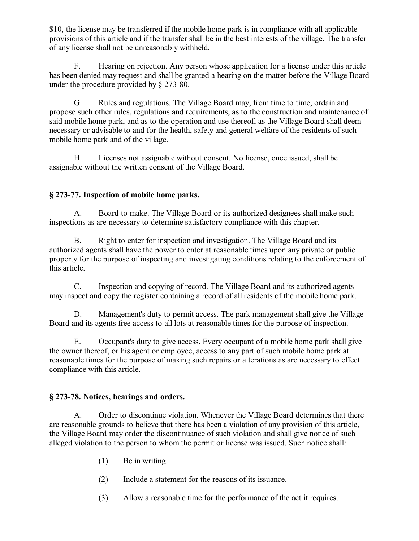\$10, the license may be transferred if the mobile home park is in compliance with all applicable provisions of this article and if the transfer shall be in the best interests of the village. The transfer of any license shall not be unreasonably withheld.

F. Hearing on rejection. Any person whose application for a license under this article has been denied may request and shall be granted a hearing on the matter before the Village Board under the procedure provided by § 273-80.

G. Rules and regulations. The Village Board may, from time to time, ordain and propose such other rules, regulations and requirements, as to the construction and maintenance of said mobile home park, and as to the operation and use thereof, as the Village Board shall deem necessary or advisable to and for the health, safety and general welfare of the residents of such mobile home park and of the village.

H. Licenses not assignable without consent. No license, once issued, shall be assignable without the written consent of the Village Board.

# **§ 273-77. Inspection of mobile home parks.**

A. Board to make. The Village Board or its authorized designees shall make such inspections as are necessary to determine satisfactory compliance with this chapter.

B. Right to enter for inspection and investigation. The Village Board and its authorized agents shall have the power to enter at reasonable times upon any private or public property for the purpose of inspecting and investigating conditions relating to the enforcement of this article.

C. Inspection and copying of record. The Village Board and its authorized agents may inspect and copy the register containing a record of all residents of the mobile home park.

D. Management's duty to permit access. The park management shall give the Village Board and its agents free access to all lots at reasonable times for the purpose of inspection.

E. Occupant's duty to give access. Every occupant of a mobile home park shall give the owner thereof, or his agent or employee, access to any part of such mobile home park at reasonable times for the purpose of making such repairs or alterations as are necessary to effect compliance with this article.

### **§ 273-78. Notices, hearings and orders.**

A. Order to discontinue violation. Whenever the Village Board determines that there are reasonable grounds to believe that there has been a violation of any provision of this article, the Village Board may order the discontinuance of such violation and shall give notice of such alleged violation to the person to whom the permit or license was issued. Such notice shall:

- (1) Be in writing.
- (2) Include a statement for the reasons of its issuance.
- (3) Allow a reasonable time for the performance of the act it requires.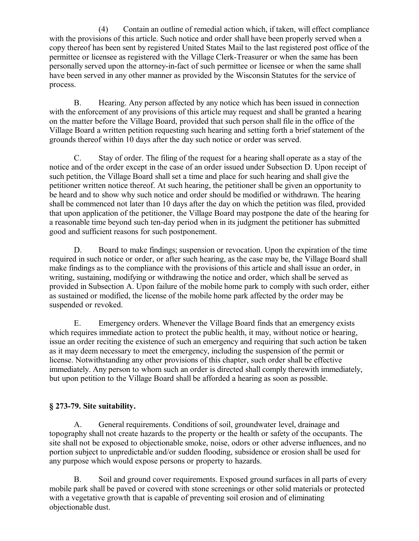(4) Contain an outline of remedial action which, if taken, will effect compliance with the provisions of this article. Such notice and order shall have been properly served when a copy thereof has been sent by registered United States Mail to the last registered post office of the permittee or licensee as registered with the Village Clerk-Treasurer or when the same has been personally served upon the attorney-in-fact of such permittee or licensee or when the same shall have been served in any other manner as provided by the Wisconsin Statutes for the service of process.

B. Hearing. Any person affected by any notice which has been issued in connection with the enforcement of any provisions of this article may request and shall be granted a hearing on the matter before the Village Board, provided that such person shall file in the office of the Village Board a written petition requesting such hearing and setting forth a brief statement of the grounds thereof within 10 days after the day such notice or order was served.

C. Stay of order. The filing of the request for a hearing shall operate as a stay of the notice and of the order except in the case of an order issued under Subsection D. Upon receipt of such petition, the Village Board shall set a time and place for such hearing and shall give the petitioner written notice thereof. At such hearing, the petitioner shall be given an opportunity to be heard and to show why such notice and order should be modified or withdrawn. The hearing shall be commenced not later than 10 days after the day on which the petition was filed, provided that upon application of the petitioner, the Village Board may postpone the date of the hearing for a reasonable time beyond such ten-day period when in its judgment the petitioner has submitted good and sufficient reasons for such postponement.

D. Board to make findings; suspension or revocation. Upon the expiration of the time required in such notice or order, or after such hearing, as the case may be, the Village Board shall make findings as to the compliance with the provisions of this article and shall issue an order, in writing, sustaining, modifying or withdrawing the notice and order, which shall be served as provided in Subsection A. Upon failure of the mobile home park to comply with such order, either as sustained or modified, the license of the mobile home park affected by the order may be suspended or revoked.

E. Emergency orders. Whenever the Village Board finds that an emergency exists which requires immediate action to protect the public health, it may, without notice or hearing, issue an order reciting the existence of such an emergency and requiring that such action be taken as it may deem necessary to meet the emergency, including the suspension of the permit or license. Notwithstanding any other provisions of this chapter, such order shall be effective immediately. Any person to whom such an order is directed shall comply therewith immediately, but upon petition to the Village Board shall be afforded a hearing as soon as possible.

# **§ 273-79. Site suitability.**

A. General requirements. Conditions of soil, groundwater level, drainage and topography shall not create hazards to the property or the health or safety of the occupants. The site shall not be exposed to objectionable smoke, noise, odors or other adverse influences, and no portion subject to unpredictable and/or sudden flooding, subsidence or erosion shall be used for any purpose which would expose persons or property to hazards.

B. Soil and ground cover requirements. Exposed ground surfaces in all parts of every mobile park shall be paved or covered with stone screenings or other solid materials or protected with a vegetative growth that is capable of preventing soil erosion and of eliminating objectionable dust.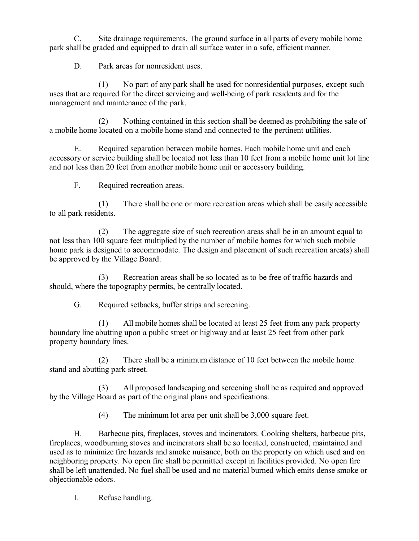C. Site drainage requirements. The ground surface in all parts of every mobile home park shall be graded and equipped to drain all surface water in a safe, efficient manner.

D. Park areas for nonresident uses.

(1) No part of any park shall be used for nonresidential purposes, except such uses that are required for the direct servicing and well-being of park residents and for the management and maintenance of the park.

(2) Nothing contained in this section shall be deemed as prohibiting the sale of a mobile home located on a mobile home stand and connected to the pertinent utilities.

E. Required separation between mobile homes. Each mobile home unit and each accessory or service building shall be located not less than 10 feet from a mobile home unit lot line and not less than 20 feet from another mobile home unit or accessory building.

F. Required recreation areas.

(1) There shall be one or more recreation areas which shall be easily accessible to all park residents.

(2) The aggregate size of such recreation areas shall be in an amount equal to not less than 100 square feet multiplied by the number of mobile homes for which such mobile home park is designed to accommodate. The design and placement of such recreation area(s) shall be approved by the Village Board.

(3) Recreation areas shall be so located as to be free of traffic hazards and should, where the topography permits, be centrally located.

G. Required setbacks, buffer strips and screening.

(1) All mobile homes shall be located at least 25 feet from any park property boundary line abutting upon a public street or highway and at least 25 feet from other park property boundary lines.

(2) There shall be a minimum distance of 10 feet between the mobile home stand and abutting park street.

(3) All proposed landscaping and screening shall be as required and approved by the Village Board as part of the original plans and specifications.

(4) The minimum lot area per unit shall be 3,000 square feet.

H. Barbecue pits, fireplaces, stoves and incinerators. Cooking shelters, barbecue pits, fireplaces, woodburning stoves and incinerators shall be so located, constructed, maintained and used as to minimize fire hazards and smoke nuisance, both on the property on which used and on neighboring property. No open fire shall be permitted except in facilities provided. No open fire shall be left unattended. No fuel shall be used and no material burned which emits dense smoke or objectionable odors.

I. Refuse handling.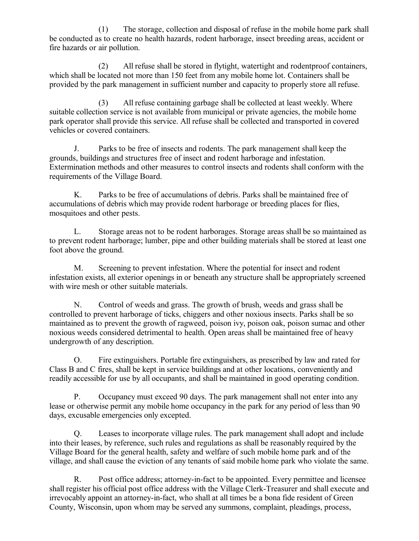(1) The storage, collection and disposal of refuse in the mobile home park shall be conducted as to create no health hazards, rodent harborage, insect breeding areas, accident or fire hazards or air pollution.

(2) All refuse shall be stored in flytight, watertight and rodentproof containers, which shall be located not more than 150 feet from any mobile home lot. Containers shall be provided by the park management in sufficient number and capacity to properly store all refuse.

(3) All refuse containing garbage shall be collected at least weekly. Where suitable collection service is not available from municipal or private agencies, the mobile home park operator shall provide this service. All refuse shall be collected and transported in covered vehicles or covered containers.

J. Parks to be free of insects and rodents. The park management shall keep the grounds, buildings and structures free of insect and rodent harborage and infestation. Extermination methods and other measures to control insects and rodents shall conform with the requirements of the Village Board.

K. Parks to be free of accumulations of debris. Parks shall be maintained free of accumulations of debris which may provide rodent harborage or breeding places for flies, mosquitoes and other pests.

L. Storage areas not to be rodent harborages. Storage areas shall be so maintained as to prevent rodent harborage; lumber, pipe and other building materials shall be stored at least one foot above the ground.

M. Screening to prevent infestation. Where the potential for insect and rodent infestation exists, all exterior openings in or beneath any structure shall be appropriately screened with wire mesh or other suitable materials.

N. Control of weeds and grass. The growth of brush, weeds and grass shall be controlled to prevent harborage of ticks, chiggers and other noxious insects. Parks shall be so maintained as to prevent the growth of ragweed, poison ivy, poison oak, poison sumac and other noxious weeds considered detrimental to health. Open areas shall be maintained free of heavy undergrowth of any description.

O. Fire extinguishers. Portable fire extinguishers, as prescribed by law and rated for Class B and C fires, shall be kept in service buildings and at other locations, conveniently and readily accessible for use by all occupants, and shall be maintained in good operating condition.

P. Occupancy must exceed 90 days. The park management shall not enter into any lease or otherwise permit any mobile home occupancy in the park for any period of less than 90 days, excusable emergencies only excepted.

Q. Leases to incorporate village rules. The park management shall adopt and include into their leases, by reference, such rules and regulations as shall be reasonably required by the Village Board for the general health, safety and welfare of such mobile home park and of the village, and shall cause the eviction of any tenants of said mobile home park who violate the same.

R. Post office address; attorney-in-fact to be appointed. Every permittee and licensee shall register his official post office address with the Village Clerk-Treasurer and shall execute and irrevocably appoint an attorney-in-fact, who shall at all times be a bona fide resident of Green County, Wisconsin, upon whom may be served any summons, complaint, pleadings, process,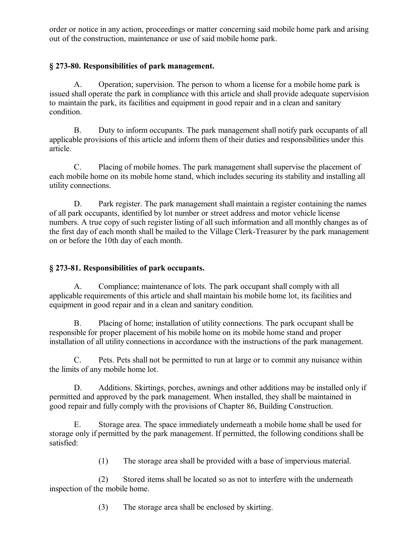order or notice in any action, proceedings or matter concerning said mobile home park and arising out of the construction, maintenance or use of said mobile home park.

## **§ 273-80. Responsibilities of park management.**

A. Operation; supervision. The person to whom a license for a mobile home park is issued shall operate the park in compliance with this article and shall provide adequate supervision to maintain the park, its facilities and equipment in good repair and in a clean and sanitary condition.

B. Duty to inform occupants. The park management shall notify park occupants of all applicable provisions of this article and inform them of their duties and responsibilities under this article.

C. Placing of mobile homes. The park management shall supervise the placement of each mobile home on its mobile home stand, which includes securing its stability and installing all utility connections.

D. Park register. The park management shall maintain a register containing the names of all park occupants, identified by lot number or street address and motor vehicle license numbers. A true copy of such register listing of all such information and all monthly changes as of the first day of each month shall be mailed to the Village Clerk-Treasurer by the park management on or before the 10th day of each month.

## **§ 273-81. Responsibilities of park occupants.**

A. Compliance; maintenance of lots. The park occupant shall comply with all applicable requirements of this article and shall maintain his mobile home lot, its facilities and equipment in good repair and in a clean and sanitary condition.

B. Placing of home; installation of utility connections. The park occupant shall be responsible for proper placement of his mobile home on its mobile home stand and proper installation of all utility connections in accordance with the instructions of the park management.

C. Pets. Pets shall not be permitted to run at large or to commit any nuisance within the limits of any mobile home lot.

D. Additions. Skirtings, porches, awnings and other additions may be installed only if permitted and approved by the park management. When installed, they shall be maintained in good repair and fully comply with the provisions of Chapter 86, Building Construction.

E. Storage area. The space immediately underneath a mobile home shall be used for storage only if permitted by the park management. If permitted, the following conditions shall be satisfied:

(1) The storage area shall be provided with a base of impervious material.

(2) Stored items shall be located so as not to interfere with the underneath inspection of the mobile home.

(3) The storage area shall be enclosed by skirting.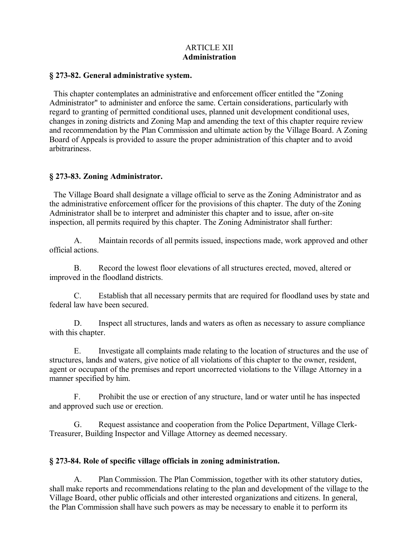### ARTICLE XII **Administration**

#### **§ 273-82. General administrative system.**

 This chapter contemplates an administrative and enforcement officer entitled the "Zoning Administrator" to administer and enforce the same. Certain considerations, particularly with regard to granting of permitted conditional uses, planned unit development conditional uses, changes in zoning districts and Zoning Map and amending the text of this chapter require review and recommendation by the Plan Commission and ultimate action by the Village Board. A Zoning Board of Appeals is provided to assure the proper administration of this chapter and to avoid arbitrariness.

#### **§ 273-83. Zoning Administrator.**

 The Village Board shall designate a village official to serve as the Zoning Administrator and as the administrative enforcement officer for the provisions of this chapter. The duty of the Zoning Administrator shall be to interpret and administer this chapter and to issue, after on-site inspection, all permits required by this chapter. The Zoning Administrator shall further:

A. Maintain records of all permits issued, inspections made, work approved and other official actions.

B. Record the lowest floor elevations of all structures erected, moved, altered or improved in the floodland districts.

C. Establish that all necessary permits that are required for floodland uses by state and federal law have been secured.

D. Inspect all structures, lands and waters as often as necessary to assure compliance with this chapter.

E. Investigate all complaints made relating to the location of structures and the use of structures, lands and waters, give notice of all violations of this chapter to the owner, resident, agent or occupant of the premises and report uncorrected violations to the Village Attorney in a manner specified by him.

F. Prohibit the use or erection of any structure, land or water until he has inspected and approved such use or erection.

G. Request assistance and cooperation from the Police Department, Village Clerk-Treasurer, Building Inspector and Village Attorney as deemed necessary.

### **§ 273-84. Role of specific village officials in zoning administration.**

A. Plan Commission. The Plan Commission, together with its other statutory duties, shall make reports and recommendations relating to the plan and development of the village to the Village Board, other public officials and other interested organizations and citizens. In general, the Plan Commission shall have such powers as may be necessary to enable it to perform its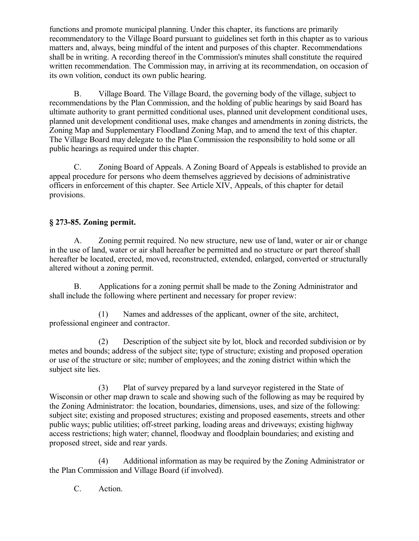functions and promote municipal planning. Under this chapter, its functions are primarily recommendatory to the Village Board pursuant to guidelines set forth in this chapter as to various matters and, always, being mindful of the intent and purposes of this chapter. Recommendations shall be in writing. A recording thereof in the Commission's minutes shall constitute the required written recommendation. The Commission may, in arriving at its recommendation, on occasion of its own volition, conduct its own public hearing.

B. Village Board. The Village Board, the governing body of the village, subject to recommendations by the Plan Commission, and the holding of public hearings by said Board has ultimate authority to grant permitted conditional uses, planned unit development conditional uses, planned unit development conditional uses, make changes and amendments in zoning districts, the Zoning Map and Supplementary Floodland Zoning Map, and to amend the text of this chapter. The Village Board may delegate to the Plan Commission the responsibility to hold some or all public hearings as required under this chapter.

C. Zoning Board of Appeals. A Zoning Board of Appeals is established to provide an appeal procedure for persons who deem themselves aggrieved by decisions of administrative officers in enforcement of this chapter. See Article XIV, Appeals, of this chapter for detail provisions.

# **§ 273-85. Zoning permit.**

A. Zoning permit required. No new structure, new use of land, water or air or change in the use of land, water or air shall hereafter be permitted and no structure or part thereof shall hereafter be located, erected, moved, reconstructed, extended, enlarged, converted or structurally altered without a zoning permit.

B. Applications for a zoning permit shall be made to the Zoning Administrator and shall include the following where pertinent and necessary for proper review:

(1) Names and addresses of the applicant, owner of the site, architect, professional engineer and contractor.

(2) Description of the subject site by lot, block and recorded subdivision or by metes and bounds; address of the subject site; type of structure; existing and proposed operation or use of the structure or site; number of employees; and the zoning district within which the subject site lies.

(3) Plat of survey prepared by a land surveyor registered in the State of Wisconsin or other map drawn to scale and showing such of the following as may be required by the Zoning Administrator: the location, boundaries, dimensions, uses, and size of the following: subject site; existing and proposed structures; existing and proposed easements, streets and other public ways; public utilities; off-street parking, loading areas and driveways; existing highway access restrictions; high water; channel, floodway and floodplain boundaries; and existing and proposed street, side and rear yards.

(4) Additional information as may be required by the Zoning Administrator or the Plan Commission and Village Board (if involved).

C. Action.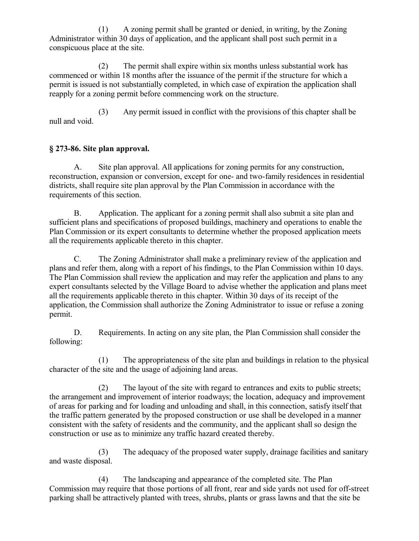(1) A zoning permit shall be granted or denied, in writing, by the Zoning Administrator within 30 days of application, and the applicant shall post such permit in a conspicuous place at the site.

(2) The permit shall expire within six months unless substantial work has commenced or within 18 months after the issuance of the permit if the structure for which a permit is issued is not substantially completed, in which case of expiration the application shall reapply for a zoning permit before commencing work on the structure.

(3) Any permit issued in conflict with the provisions of this chapter shall be null and void.

# **§ 273-86. Site plan approval.**

A. Site plan approval. All applications for zoning permits for any construction, reconstruction, expansion or conversion, except for one- and two-family residences in residential districts, shall require site plan approval by the Plan Commission in accordance with the requirements of this section.

B. Application. The applicant for a zoning permit shall also submit a site plan and sufficient plans and specifications of proposed buildings, machinery and operations to enable the Plan Commission or its expert consultants to determine whether the proposed application meets all the requirements applicable thereto in this chapter.

C. The Zoning Administrator shall make a preliminary review of the application and plans and refer them, along with a report of his findings, to the Plan Commission within 10 days. The Plan Commission shall review the application and may refer the application and plans to any expert consultants selected by the Village Board to advise whether the application and plans meet all the requirements applicable thereto in this chapter. Within 30 days of its receipt of the application, the Commission shall authorize the Zoning Administrator to issue or refuse a zoning permit.

D. Requirements. In acting on any site plan, the Plan Commission shall consider the following:

(1) The appropriateness of the site plan and buildings in relation to the physical character of the site and the usage of adjoining land areas.

(2) The layout of the site with regard to entrances and exits to public streets; the arrangement and improvement of interior roadways; the location, adequacy and improvement of areas for parking and for loading and unloading and shall, in this connection, satisfy itself that the traffic pattern generated by the proposed construction or use shall be developed in a manner consistent with the safety of residents and the community, and the applicant shall so design the construction or use as to minimize any traffic hazard created thereby.

(3) The adequacy of the proposed water supply, drainage facilities and sanitary and waste disposal.

(4) The landscaping and appearance of the completed site. The Plan Commission may require that those portions of all front, rear and side yards not used for off-street parking shall be attractively planted with trees, shrubs, plants or grass lawns and that the site be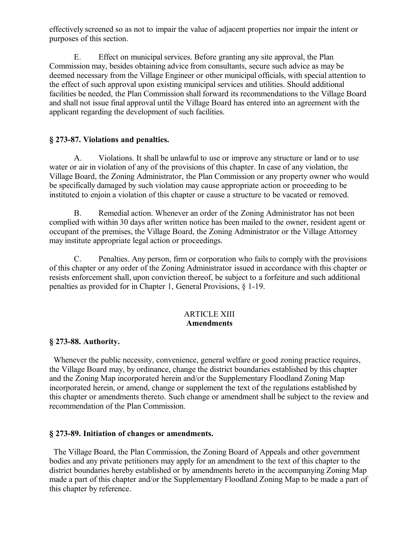effectively screened so as not to impair the value of adjacent properties nor impair the intent or purposes of this section.

E. Effect on municipal services. Before granting any site approval, the Plan Commission may, besides obtaining advice from consultants, secure such advice as may be deemed necessary from the Village Engineer or other municipal officials, with special attention to the effect of such approval upon existing municipal services and utilities. Should additional facilities be needed, the Plan Commission shall forward its recommendations to the Village Board and shall not issue final approval until the Village Board has entered into an agreement with the applicant regarding the development of such facilities.

## **§ 273-87. Violations and penalties.**

A. Violations. It shall be unlawful to use or improve any structure or land or to use water or air in violation of any of the provisions of this chapter. In case of any violation, the Village Board, the Zoning Administrator, the Plan Commission or any property owner who would be specifically damaged by such violation may cause appropriate action or proceeding to be instituted to enjoin a violation of this chapter or cause a structure to be vacated or removed.

B. Remedial action. Whenever an order of the Zoning Administrator has not been complied with within 30 days after written notice has been mailed to the owner, resident agent or occupant of the premises, the Village Board, the Zoning Administrator or the Village Attorney may institute appropriate legal action or proceedings.

C. Penalties. Any person, firm or corporation who fails to comply with the provisions of this chapter or any order of the Zoning Administrator issued in accordance with this chapter or resists enforcement shall, upon conviction thereof, be subject to a forfeiture and such additional penalties as provided for in Chapter 1, General Provisions, § 1-19.

### ARTICLE XIII **Amendments**

# **§ 273-88. Authority.**

 Whenever the public necessity, convenience, general welfare or good zoning practice requires, the Village Board may, by ordinance, change the district boundaries established by this chapter and the Zoning Map incorporated herein and/or the Supplementary Floodland Zoning Map incorporated herein, or amend, change or supplement the text of the regulations established by this chapter or amendments thereto. Such change or amendment shall be subject to the review and recommendation of the Plan Commission.

### **§ 273-89. Initiation of changes or amendments.**

 The Village Board, the Plan Commission, the Zoning Board of Appeals and other government bodies and any private petitioners may apply for an amendment to the text of this chapter to the district boundaries hereby established or by amendments hereto in the accompanying Zoning Map made a part of this chapter and/or the Supplementary Floodland Zoning Map to be made a part of this chapter by reference.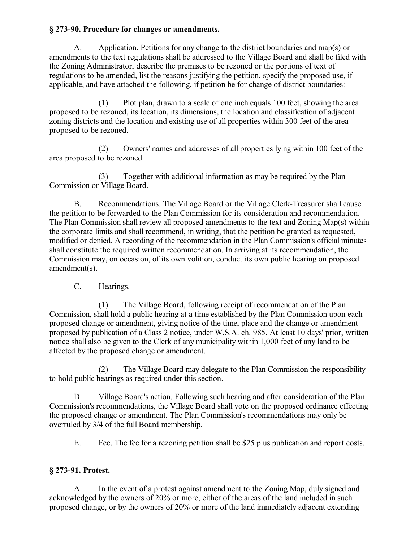## **§ 273-90. Procedure for changes or amendments.**

A. Application. Petitions for any change to the district boundaries and map(s) or amendments to the text regulations shall be addressed to the Village Board and shall be filed with the Zoning Administrator, describe the premises to be rezoned or the portions of text of regulations to be amended, list the reasons justifying the petition, specify the proposed use, if applicable, and have attached the following, if petition be for change of district boundaries:

(1) Plot plan, drawn to a scale of one inch equals 100 feet, showing the area proposed to be rezoned, its location, its dimensions, the location and classification of adjacent zoning districts and the location and existing use of all properties within 300 feet of the area proposed to be rezoned.

(2) Owners' names and addresses of all properties lying within 100 feet of the area proposed to be rezoned.

(3) Together with additional information as may be required by the Plan Commission or Village Board.

B. Recommendations. The Village Board or the Village Clerk-Treasurer shall cause the petition to be forwarded to the Plan Commission for its consideration and recommendation. The Plan Commission shall review all proposed amendments to the text and Zoning Map(s) within the corporate limits and shall recommend, in writing, that the petition be granted as requested, modified or denied. A recording of the recommendation in the Plan Commission's official minutes shall constitute the required written recommendation. In arriving at its recommendation, the Commission may, on occasion, of its own volition, conduct its own public hearing on proposed amendment(s).

C. Hearings.

(1) The Village Board, following receipt of recommendation of the Plan Commission, shall hold a public hearing at a time established by the Plan Commission upon each proposed change or amendment, giving notice of the time, place and the change or amendment proposed by publication of a Class 2 notice, under W.S.A. ch. 985. At least 10 days' prior, written notice shall also be given to the Clerk of any municipality within 1,000 feet of any land to be affected by the proposed change or amendment.

(2) The Village Board may delegate to the Plan Commission the responsibility to hold public hearings as required under this section.

D. Village Board's action. Following such hearing and after consideration of the Plan Commission's recommendations, the Village Board shall vote on the proposed ordinance effecting the proposed change or amendment. The Plan Commission's recommendations may only be overruled by 3/4 of the full Board membership.

E. Fee. The fee for a rezoning petition shall be \$25 plus publication and report costs.

# **§ 273-91. Protest.**

A. In the event of a protest against amendment to the Zoning Map, duly signed and acknowledged by the owners of 20% or more, either of the areas of the land included in such proposed change, or by the owners of 20% or more of the land immediately adjacent extending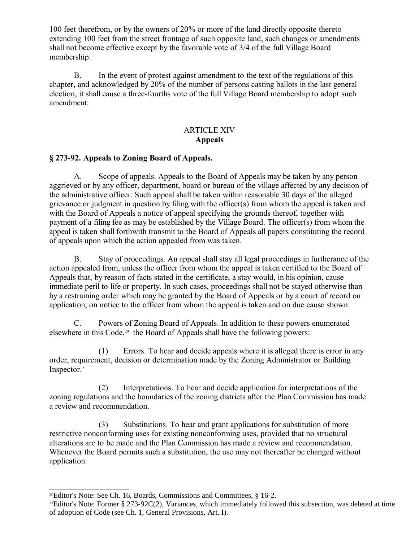100 feet therefrom, or by the owners of 20% or more of the land directly opposite thereto extending 100 feet from the street frontage of such opposite land, such changes or amendments shall not become effective except by the favorable vote of 3/4 of the full Village Board membership.

B. In the event of protest against amendment to the text of the regulations of this chapter, and acknowledged by 20% of the number of persons casting ballots in the last general election, it shall cause a three-fourths vote of the full Village Board membership to adopt such amendment.

## ARTICLE XIV **Appeals**

### **§ 273-92. Appeals to Zoning Board of Appeals.**

A. Scope of appeals. Appeals to the Board of Appeals may be taken by any person aggrieved or by any officer, department, board or bureau of the village affected by any decision of the administrative officer. Such appeal shall be taken within reasonable 30 days of the alleged grievance or judgment in question by filing with the officer(s) from whom the appeal is taken and with the Board of Appeals a notice of appeal specifying the grounds thereof, together with payment of a filing fee as may be established by the Village Board. The officer(s) from whom the appeal is taken shall forthwith transmit to the Board of Appeals all papers constituting the record of appeals upon which the action appealed from was taken.

B. Stay of proceedings. An appeal shall stay all legal proceedings in furtherance of the action appealed from, unless the officer from whom the appeal is taken certified to the Board of Appeals that, by reason of facts stated in the certificate, a stay would, in his opinion, cause immediate peril to life or property. In such cases, proceedings shall not be stayed otherwise than by a restraining order which may be granted by the Board of Appeals or by a court of record on application, on notice to the officer from whom the appeal is taken and on due cause shown.

C. Powers of Zoning Board of Appeals. In addition to these powers enumerated elsewhere in this  $Code^{20}$  $Code^{20}$  $Code^{20}$  the Board of Appeals shall have the following powers:

(1) Errors. To hear and decide appeals where it is alleged there is error in any order, requirement, decision or determination made by the Zoning Administrator or Building Inspector.<sup>[21](#page-61-1)</sup>

(2) Interpretations. To hear and decide application for interpretations of the zoning regulations and the boundaries of the zoning districts after the Plan Commission has made a review and recommendation.

(3) Substitutions. To hear and grant applications for substitution of more restrictive nonconforming uses for existing nonconforming uses, provided that no structural alterations are to be made and the Plan Commission has made a review and recommendation. Whenever the Board permits such a substitution, the use may not thereafter be changed without application.

<span id="page-61-0"></span><sup>20</sup>Editor's Note: See Ch. 16, Boards, Commissions and Committees, § 16-2.

<span id="page-61-1"></span><sup>21</sup>Editor's Note: Former § 273-92C(2), Variances, which immediately followed this subsection, was deleted at time of adoption of Code (see Ch. 1, General Provisions, Art. I).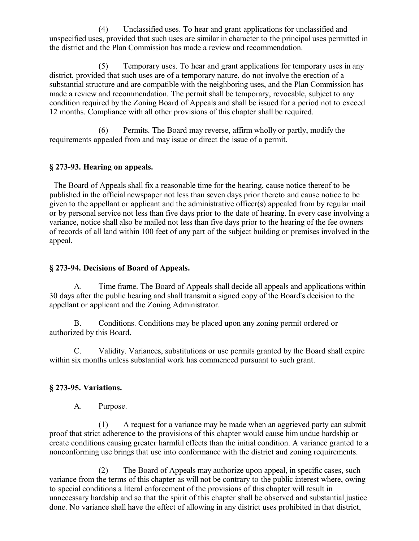(4) Unclassified uses. To hear and grant applications for unclassified and unspecified uses, provided that such uses are similar in character to the principal uses permitted in the district and the Plan Commission has made a review and recommendation.

(5) Temporary uses. To hear and grant applications for temporary uses in any district, provided that such uses are of a temporary nature, do not involve the erection of a substantial structure and are compatible with the neighboring uses, and the Plan Commission has made a review and recommendation. The permit shall be temporary, revocable, subject to any condition required by the Zoning Board of Appeals and shall be issued for a period not to exceed 12 months. Compliance with all other provisions of this chapter shall be required.

(6) Permits. The Board may reverse, affirm wholly or partly, modify the requirements appealed from and may issue or direct the issue of a permit.

### **§ 273-93. Hearing on appeals.**

 The Board of Appeals shall fix a reasonable time for the hearing, cause notice thereof to be published in the official newspaper not less than seven days prior thereto and cause notice to be given to the appellant or applicant and the administrative officer(s) appealed from by regular mail or by personal service not less than five days prior to the date of hearing. In every case involving a variance, notice shall also be mailed not less than five days prior to the hearing of the fee owners of records of all land within 100 feet of any part of the subject building or premises involved in the appeal.

### **§ 273-94. Decisions of Board of Appeals.**

A. Time frame. The Board of Appeals shall decide all appeals and applications within 30 days after the public hearing and shall transmit a signed copy of the Board's decision to the appellant or applicant and the Zoning Administrator.

B. Conditions. Conditions may be placed upon any zoning permit ordered or authorized by this Board.

C. Validity. Variances, substitutions or use permits granted by the Board shall expire within six months unless substantial work has commenced pursuant to such grant.

### **§ 273-95. Variations.**

A. Purpose.

(1) A request for a variance may be made when an aggrieved party can submit proof that strict adherence to the provisions of this chapter would cause him undue hardship or create conditions causing greater harmful effects than the initial condition. A variance granted to a nonconforming use brings that use into conformance with the district and zoning requirements.

(2) The Board of Appeals may authorize upon appeal, in specific cases, such variance from the terms of this chapter as will not be contrary to the public interest where, owing to special conditions a literal enforcement of the provisions of this chapter will result in unnecessary hardship and so that the spirit of this chapter shall be observed and substantial justice done. No variance shall have the effect of allowing in any district uses prohibited in that district,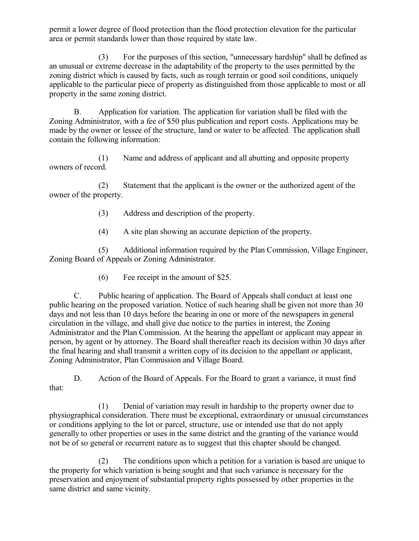permit a lower degree of flood protection than the flood protection elevation for the particular area or permit standards lower than those required by state law.

(3) For the purposes of this section, "unnecessary hardship" shall be defined as an unusual or extreme decrease in the adaptability of the property to the uses permitted by the zoning district which is caused by facts, such as rough terrain or good soil conditions, uniquely applicable to the particular piece of property as distinguished from those applicable to most or all property in the same zoning district.

B. Application for variation. The application for variation shall be filed with the Zoning Administrator, with a fee of \$50 plus publication and report costs. Applications may be made by the owner or lessee of the structure, land or water to be affected. The application shall contain the following information:

(1) Name and address of applicant and all abutting and opposite property owners of record.

(2) Statement that the applicant is the owner or the authorized agent of the owner of the property.

(3) Address and description of the property.

(4) A site plan showing an accurate depiction of the property.

(5) Additional information required by the Plan Commission, Village Engineer, Zoning Board of Appeals or Zoning Administrator.

(6) Fee receipt in the amount of \$25.

C. Public hearing of application. The Board of Appeals shall conduct at least one public hearing on the proposed variation. Notice of such hearing shall be given not more than 30 days and not less than 10 days before the hearing in one or more of the newspapers in general circulation in the village, and shall give due notice to the parties in interest, the Zoning Administrator and the Plan Commission. At the hearing the appellant or applicant may appear in person, by agent or by attorney. The Board shall thereafter reach its decision within 30 days after the final hearing and shall transmit a written copy of its decision to the appellant or applicant, Zoning Administrator, Plan Commission and Village Board.

D. Action of the Board of Appeals. For the Board to grant a variance, it must find that:

(1) Denial of variation may result in hardship to the property owner due to physiographical consideration. There must be exceptional, extraordinary or unusual circumstances or conditions applying to the lot or parcel, structure, use or intended use that do not apply generally to other properties or uses in the same district and the granting of the variance would not be of so general or recurrent nature as to suggest that this chapter should be changed.

(2) The conditions upon which a petition for a variation is based are unique to the property for which variation is being sought and that such variance is necessary for the preservation and enjoyment of substantial property rights possessed by other properties in the same district and same vicinity.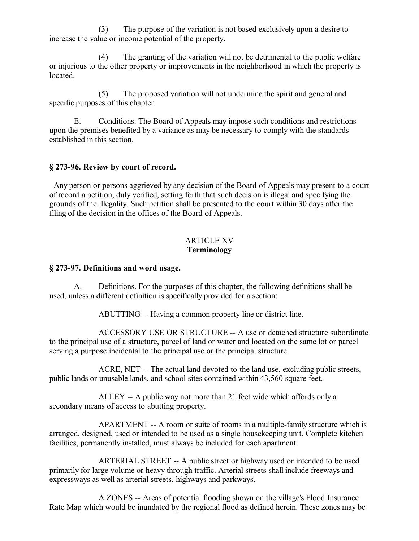(3) The purpose of the variation is not based exclusively upon a desire to increase the value or income potential of the property.

(4) The granting of the variation will not be detrimental to the public welfare or injurious to the other property or improvements in the neighborhood in which the property is located.

(5) The proposed variation will not undermine the spirit and general and specific purposes of this chapter.

E. Conditions. The Board of Appeals may impose such conditions and restrictions upon the premises benefited by a variance as may be necessary to comply with the standards established in this section.

#### **§ 273-96. Review by court of record.**

 Any person or persons aggrieved by any decision of the Board of Appeals may present to a court of record a petition, duly verified, setting forth that such decision is illegal and specifying the grounds of the illegality. Such petition shall be presented to the court within 30 days after the filing of the decision in the offices of the Board of Appeals.

#### ARTICLE XV **Terminology**

#### **§ 273-97. Definitions and word usage.**

A. Definitions. For the purposes of this chapter, the following definitions shall be used, unless a different definition is specifically provided for a section:

ABUTTING -- Having a common property line or district line.

ACCESSORY USE OR STRUCTURE -- A use or detached structure subordinate to the principal use of a structure, parcel of land or water and located on the same lot or parcel serving a purpose incidental to the principal use or the principal structure.

ACRE, NET -- The actual land devoted to the land use, excluding public streets, public lands or unusable lands, and school sites contained within 43,560 square feet.

ALLEY -- A public way not more than 21 feet wide which affords only a secondary means of access to abutting property.

APARTMENT -- A room or suite of rooms in a multiple-family structure which is arranged, designed, used or intended to be used as a single housekeeping unit. Complete kitchen facilities, permanently installed, must always be included for each apartment.

ARTERIAL STREET -- A public street or highway used or intended to be used primarily for large volume or heavy through traffic. Arterial streets shall include freeways and expressways as well as arterial streets, highways and parkways.

A ZONES -- Areas of potential flooding shown on the village's Flood Insurance Rate Map which would be inundated by the regional flood as defined herein. These zones may be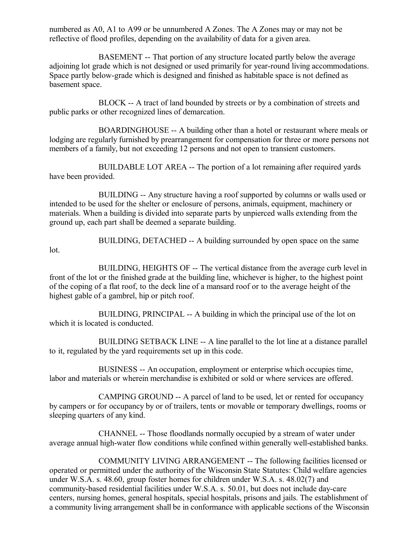numbered as A0, A1 to A99 or be unnumbered A Zones. The A Zones may or may not be reflective of flood profiles, depending on the availability of data for a given area.

BASEMENT -- That portion of any structure located partly below the average adjoining lot grade which is not designed or used primarily for year-round living accommodations. Space partly below-grade which is designed and finished as habitable space is not defined as basement space.

BLOCK -- A tract of land bounded by streets or by a combination of streets and public parks or other recognized lines of demarcation.

BOARDINGHOUSE -- A building other than a hotel or restaurant where meals or lodging are regularly furnished by prearrangement for compensation for three or more persons not members of a family, but not exceeding 12 persons and not open to transient customers.

BUILDABLE LOT AREA -- The portion of a lot remaining after required yards have been provided.

BUILDING -- Any structure having a roof supported by columns or walls used or intended to be used for the shelter or enclosure of persons, animals, equipment, machinery or materials. When a building is divided into separate parts by unpierced walls extending from the ground up, each part shall be deemed a separate building.

lot.

BUILDING, DETACHED -- A building surrounded by open space on the same

BUILDING, HEIGHTS OF -- The vertical distance from the average curb level in front of the lot or the finished grade at the building line, whichever is higher, to the highest point of the coping of a flat roof, to the deck line of a mansard roof or to the average height of the highest gable of a gambrel, hip or pitch roof.

BUILDING, PRINCIPAL -- A building in which the principal use of the lot on which it is located is conducted.

BUILDING SETBACK LINE -- A line parallel to the lot line at a distance parallel to it, regulated by the yard requirements set up in this code.

BUSINESS -- An occupation, employment or enterprise which occupies time, labor and materials or wherein merchandise is exhibited or sold or where services are offered.

CAMPING GROUND -- A parcel of land to be used, let or rented for occupancy by campers or for occupancy by or of trailers, tents or movable or temporary dwellings, rooms or sleeping quarters of any kind.

CHANNEL -- Those floodlands normally occupied by a stream of water under average annual high-water flow conditions while confined within generally well-established banks.

COMMUNITY LIVING ARRANGEMENT -- The following facilities licensed or operated or permitted under the authority of the Wisconsin State Statutes: Child welfare agencies under W.S.A. s. 48.60, group foster homes for children under W.S.A. s. 48.02(7) and community-based residential facilities under W.S.A. s. 50.01, but does not include day-care centers, nursing homes, general hospitals, special hospitals, prisons and jails. The establishment of a community living arrangement shall be in conformance with applicable sections of the Wisconsin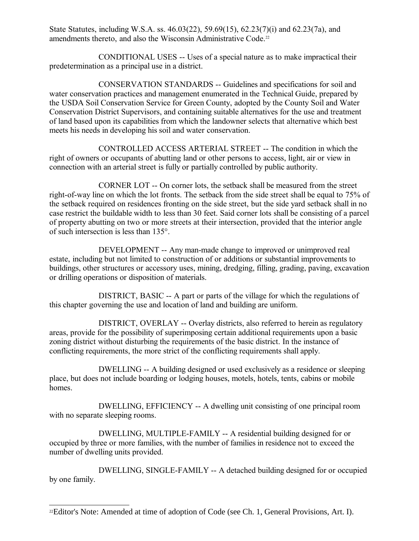State Statutes, including W.S.A. ss. 46.03(22), 59.69(15), 62.23(7)(i) and 62.23(7a), and amendments thereto, and also the Wisconsin Administrative Code.<sup>[22](#page-66-0)</sup>

CONDITIONAL USES -- Uses of a special nature as to make impractical their predetermination as a principal use in a district.

CONSERVATION STANDARDS -- Guidelines and specifications for soil and water conservation practices and management enumerated in the Technical Guide, prepared by the USDA Soil Conservation Service for Green County, adopted by the County Soil and Water Conservation District Supervisors, and containing suitable alternatives for the use and treatment of land based upon its capabilities from which the landowner selects that alternative which best meets his needs in developing his soil and water conservation.

CONTROLLED ACCESS ARTERIAL STREET -- The condition in which the right of owners or occupants of abutting land or other persons to access, light, air or view in connection with an arterial street is fully or partially controlled by public authority.

CORNER LOT -- On corner lots, the setback shall be measured from the street right-of-way line on which the lot fronts. The setback from the side street shall be equal to 75% of the setback required on residences fronting on the side street, but the side yard setback shall in no case restrict the buildable width to less than 30 feet. Said corner lots shall be consisting of a parcel of property abutting on two or more streets at their intersection, provided that the interior angle of such intersection is less than 135°.

DEVELOPMENT -- Any man-made change to improved or unimproved real estate, including but not limited to construction of or additions or substantial improvements to buildings, other structures or accessory uses, mining, dredging, filling, grading, paving, excavation or drilling operations or disposition of materials.

DISTRICT, BASIC -- A part or parts of the village for which the regulations of this chapter governing the use and location of land and building are uniform.

DISTRICT, OVERLAY -- Overlay districts, also referred to herein as regulatory areas, provide for the possibility of superimposing certain additional requirements upon a basic zoning district without disturbing the requirements of the basic district. In the instance of conflicting requirements, the more strict of the conflicting requirements shall apply.

DWELLING -- A building designed or used exclusively as a residence or sleeping place, but does not include boarding or lodging houses, motels, hotels, tents, cabins or mobile homes.

DWELLING, EFFICIENCY -- A dwelling unit consisting of one principal room with no separate sleeping rooms.

DWELLING, MULTIPLE-FAMILY -- A residential building designed for or occupied by three or more families, with the number of families in residence not to exceed the number of dwelling units provided.

DWELLING, SINGLE-FAMILY -- A detached building designed for or occupied by one family.

<span id="page-66-0"></span><sup>22</sup>Editor's Note: Amended at time of adoption of Code (see Ch. 1, General Provisions, Art. I).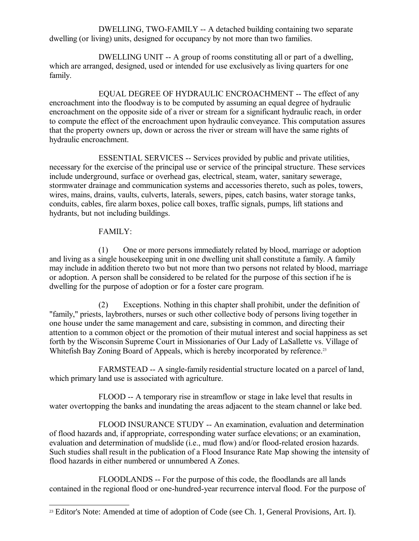DWELLING, TWO-FAMILY -- A detached building containing two separate dwelling (or living) units, designed for occupancy by not more than two families.

DWELLING UNIT -- A group of rooms constituting all or part of a dwelling, which are arranged, designed, used or intended for use exclusively as living quarters for one family.

EQUAL DEGREE OF HYDRAULIC ENCROACHMENT -- The effect of any encroachment into the floodway is to be computed by assuming an equal degree of hydraulic encroachment on the opposite side of a river or stream for a significant hydraulic reach, in order to compute the effect of the encroachment upon hydraulic conveyance. This computation assures that the property owners up, down or across the river or stream will have the same rights of hydraulic encroachment.

ESSENTIAL SERVICES -- Services provided by public and private utilities, necessary for the exercise of the principal use or service of the principal structure. These services include underground, surface or overhead gas, electrical, steam, water, sanitary sewerage, stormwater drainage and communication systems and accessories thereto, such as poles, towers, wires, mains, drains, vaults, culverts, laterals, sewers, pipes, catch basins, water storage tanks, conduits, cables, fire alarm boxes, police call boxes, traffic signals, pumps, lift stations and hydrants, but not including buildings.

# FAMILY:

(1) One or more persons immediately related by blood, marriage or adoption and living as a single housekeeping unit in one dwelling unit shall constitute a family. A family may include in addition thereto two but not more than two persons not related by blood, marriage or adoption. A person shall be considered to be related for the purpose of this section if he is dwelling for the purpose of adoption or for a foster care program.

(2) Exceptions. Nothing in this chapter shall prohibit, under the definition of "family," priests, laybrothers, nurses or such other collective body of persons living together in one house under the same management and care, subsisting in common, and directing their attention to a common object or the promotion of their mutual interest and social happiness as set forth by the Wisconsin Supreme Court in Missionaries of Our Lady of LaSallette vs. Village of Whitefish Bay Zoning Board of Appeals, which is hereby incorporated by reference.<sup>[23](#page-67-0)</sup>

FARMSTEAD -- A single-family residential structure located on a parcel of land, which primary land use is associated with agriculture.

FLOOD -- A temporary rise in streamflow or stage in lake level that results in water overtopping the banks and inundating the areas adjacent to the steam channel or lake bed.

FLOOD INSURANCE STUDY -- An examination, evaluation and determination of flood hazards and, if appropriate, corresponding water surface elevations; or an examination, evaluation and determination of mudslide (i.e., mud flow) and/or flood-related erosion hazards. Such studies shall result in the publication of a Flood Insurance Rate Map showing the intensity of flood hazards in either numbered or unnumbered A Zones.

FLOODLANDS -- For the purpose of this code, the floodlands are all lands contained in the regional flood or one-hundred-year recurrence interval flood. For the purpose of

<span id="page-67-0"></span><sup>&</sup>lt;sup>23</sup> Editor's Note: Amended at time of adoption of Code (see Ch. 1, General Provisions, Art. I).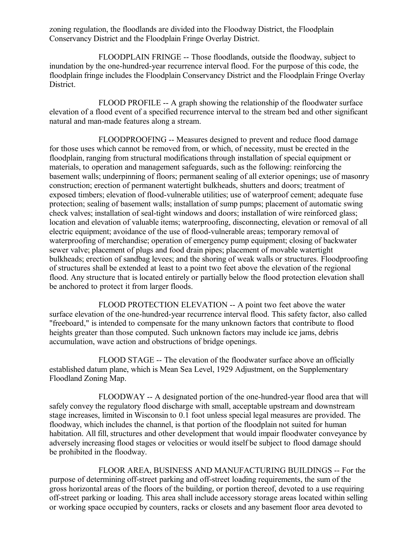zoning regulation, the floodlands are divided into the Floodway District, the Floodplain Conservancy District and the Floodplain Fringe Overlay District.

FLOODPLAIN FRINGE -- Those floodlands, outside the floodway, subject to inundation by the one-hundred-year recurrence interval flood. For the purpose of this code, the floodplain fringe includes the Floodplain Conservancy District and the Floodplain Fringe Overlay District.

FLOOD PROFILE -- A graph showing the relationship of the floodwater surface elevation of a flood event of a specified recurrence interval to the stream bed and other significant natural and man-made features along a stream.

FLOODPROOFING -- Measures designed to prevent and reduce flood damage for those uses which cannot be removed from, or which, of necessity, must be erected in the floodplain, ranging from structural modifications through installation of special equipment or materials, to operation and management safeguards, such as the following: reinforcing the basement walls; underpinning of floors; permanent sealing of all exterior openings; use of masonry construction; erection of permanent watertight bulkheads, shutters and doors; treatment of exposed timbers; elevation of flood-vulnerable utilities; use of waterproof cement; adequate fuse protection; sealing of basement walls; installation of sump pumps; placement of automatic swing check valves; installation of seal-tight windows and doors; installation of wire reinforced glass; location and elevation of valuable items; waterproofing, disconnecting, elevation or removal of all electric equipment; avoidance of the use of flood-vulnerable areas; temporary removal of waterproofing of merchandise; operation of emergency pump equipment; closing of backwater sewer valve; placement of plugs and food drain pipes; placement of movable watertight bulkheads; erection of sandbag levees; and the shoring of weak walls or structures. Floodproofing of structures shall be extended at least to a point two feet above the elevation of the regional flood. Any structure that is located entirely or partially below the flood protection elevation shall be anchored to protect it from larger floods.

FLOOD PROTECTION ELEVATION -- A point two feet above the water surface elevation of the one-hundred-year recurrence interval flood. This safety factor, also called "freeboard," is intended to compensate for the many unknown factors that contribute to flood heights greater than those computed. Such unknown factors may include ice jams, debris accumulation, wave action and obstructions of bridge openings.

FLOOD STAGE -- The elevation of the floodwater surface above an officially established datum plane, which is Mean Sea Level, 1929 Adjustment, on the Supplementary Floodland Zoning Map.

FLOODWAY -- A designated portion of the one-hundred-year flood area that will safely convey the regulatory flood discharge with small, acceptable upstream and downstream stage increases, limited in Wisconsin to 0.1 foot unless special legal measures are provided. The floodway, which includes the channel, is that portion of the floodplain not suited for human habitation. All fill, structures and other development that would impair floodwater conveyance by adversely increasing flood stages or velocities or would itself be subject to flood damage should be prohibited in the floodway.

FLOOR AREA, BUSINESS AND MANUFACTURING BUILDINGS -- For the purpose of determining off-street parking and off-street loading requirements, the sum of the gross horizontal areas of the floors of the building, or portion thereof, devoted to a use requiring off-street parking or loading. This area shall include accessory storage areas located within selling or working space occupied by counters, racks or closets and any basement floor area devoted to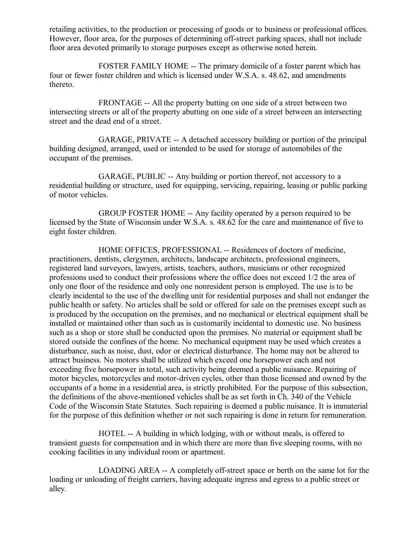retailing activities, to the production or processing of goods or to business or professional offices. However, floor area, for the purposes of determining off-street parking spaces, shall not include floor area devoted primarily to storage purposes except as otherwise noted herein.

FOSTER FAMILY HOME -- The primary domicile of a foster parent which has four or fewer foster children and which is licensed under W.S.A. s. 48.62, and amendments thereto.

FRONTAGE -- All the property butting on one side of a street between two intersecting streets or all of the property abutting on one side of a street between an intersecting street and the dead end of a street.

GARAGE, PRIVATE -- A detached accessory building or portion of the principal building designed, arranged, used or intended to be used for storage of automobiles of the occupant of the premises.

GARAGE, PUBLIC -- Any building or portion thereof, not accessory to a residential building or structure, used for equipping, servicing, repairing, leasing or public parking of motor vehicles.

GROUP FOSTER HOME -- Any facility operated by a person required to be licensed by the State of Wisconsin under W.S.A. s. 48.62 for the care and maintenance of five to eight foster children.

HOME OFFICES, PROFESSIONAL -- Residences of doctors of medicine, practitioners, dentists, clergymen, architects, landscape architects, professional engineers, registered land surveyors, lawyers, artists, teachers, authors, musicians or other recognized professions used to conduct their professions where the office does not exceed 1/2 the area of only one floor of the residence and only one nonresident person is employed. The use is to be clearly incidental to the use of the dwelling unit for residential purposes and shall not endanger the public health or safety. No articles shall be sold or offered for sale on the premises except such as is produced by the occupation on the premises, and no mechanical or electrical equipment shall be installed or maintained other than such as is customarily incidental to domestic use. No business such as a shop or store shall be conducted upon the premises. No material or equipment shall be stored outside the confines of the home. No mechanical equipment may be used which creates a disturbance, such as noise, dust, odor or electrical disturbance. The home may not be altered to attract business. No motors shall be utilized which exceed one horsepower each and not exceeding five horsepower in total, such activity being deemed a public nuisance. Repairing of motor bicycles, motorcycles and motor-driven cycles, other than those licensed and owned by the occupants of a home in a residential area, is strictly prohibited. For the purpose of this subsection, the definitions of the above-mentioned vehicles shall be as set forth in Ch. 340 of the Vehicle Code of the Wisconsin State Statutes. Such repairing is deemed a public nuisance. It is immaterial for the purpose of this definition whether or not such repairing is done in return for remuneration.

HOTEL -- A building in which lodging, with or without meals, is offered to transient guests for compensation and in which there are more than five sleeping rooms, with no cooking facilities in any individual room or apartment.

LOADING AREA -- A completely off-street space or berth on the same lot for the loading or unloading of freight carriers, having adequate ingress and egress to a public street or alley.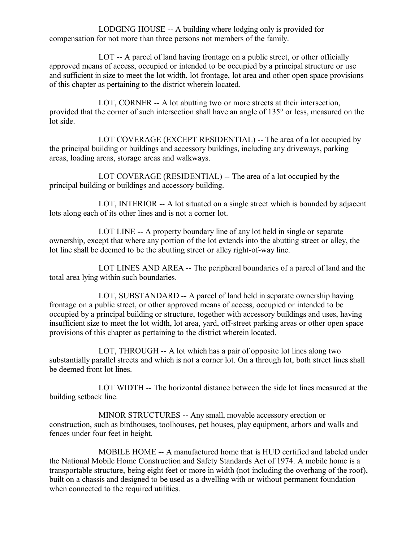LODGING HOUSE -- A building where lodging only is provided for compensation for not more than three persons not members of the family.

LOT -- A parcel of land having frontage on a public street, or other officially approved means of access, occupied or intended to be occupied by a principal structure or use and sufficient in size to meet the lot width, lot frontage, lot area and other open space provisions of this chapter as pertaining to the district wherein located.

LOT, CORNER -- A lot abutting two or more streets at their intersection, provided that the corner of such intersection shall have an angle of 135° or less, measured on the lot side.

LOT COVERAGE (EXCEPT RESIDENTIAL) -- The area of a lot occupied by the principal building or buildings and accessory buildings, including any driveways, parking areas, loading areas, storage areas and walkways.

LOT COVERAGE (RESIDENTIAL) -- The area of a lot occupied by the principal building or buildings and accessory building.

LOT, INTERIOR -- A lot situated on a single street which is bounded by adjacent lots along each of its other lines and is not a corner lot.

LOT LINE -- A property boundary line of any lot held in single or separate ownership, except that where any portion of the lot extends into the abutting street or alley, the lot line shall be deemed to be the abutting street or alley right-of-way line.

LOT LINES AND AREA -- The peripheral boundaries of a parcel of land and the total area lying within such boundaries.

LOT, SUBSTANDARD -- A parcel of land held in separate ownership having frontage on a public street, or other approved means of access, occupied or intended to be occupied by a principal building or structure, together with accessory buildings and uses, having insufficient size to meet the lot width, lot area, yard, off-street parking areas or other open space provisions of this chapter as pertaining to the district wherein located.

LOT, THROUGH -- A lot which has a pair of opposite lot lines along two substantially parallel streets and which is not a corner lot. On a through lot, both street lines shall be deemed front lot lines.

LOT WIDTH -- The horizontal distance between the side lot lines measured at the building setback line.

MINOR STRUCTURES -- Any small, movable accessory erection or construction, such as birdhouses, toolhouses, pet houses, play equipment, arbors and walls and fences under four feet in height.

MOBILE HOME -- A manufactured home that is HUD certified and labeled under the National Mobile Home Construction and Safety Standards Act of 1974. A mobile home is a transportable structure, being eight feet or more in width (not including the overhang of the roof), built on a chassis and designed to be used as a dwelling with or without permanent foundation when connected to the required utilities.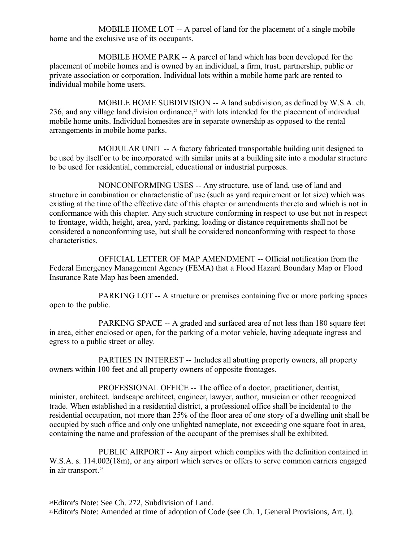MOBILE HOME LOT -- A parcel of land for the placement of a single mobile home and the exclusive use of its occupants.

MOBILE HOME PARK -- A parcel of land which has been developed for the placement of mobile homes and is owned by an individual, a firm, trust, partnership, public or private association or corporation. Individual lots within a mobile home park are rented to individual mobile home users.

MOBILE HOME SUBDIVISION -- A land subdivision, as defined by W.S.A. ch. 236, and any village land division ordinance,<sup>[24](#page-71-0)</sup> with lots intended for the placement of individual mobile home units. Individual homesites are in separate ownership as opposed to the rental arrangements in mobile home parks.

MODULAR UNIT -- A factory fabricated transportable building unit designed to be used by itself or to be incorporated with similar units at a building site into a modular structure to be used for residential, commercial, educational or industrial purposes.

NONCONFORMING USES -- Any structure, use of land, use of land and structure in combination or characteristic of use (such as yard requirement or lot size) which was existing at the time of the effective date of this chapter or amendments thereto and which is not in conformance with this chapter. Any such structure conforming in respect to use but not in respect to frontage, width, height, area, yard, parking, loading or distance requirements shall not be considered a nonconforming use, but shall be considered nonconforming with respect to those characteristics.

OFFICIAL LETTER OF MAP AMENDMENT -- Official notification from the Federal Emergency Management Agency (FEMA) that a Flood Hazard Boundary Map or Flood Insurance Rate Map has been amended.

PARKING LOT -- A structure or premises containing five or more parking spaces open to the public.

PARKING SPACE -- A graded and surfaced area of not less than 180 square feet in area, either enclosed or open, for the parking of a motor vehicle, having adequate ingress and egress to a public street or alley.

PARTIES IN INTEREST -- Includes all abutting property owners, all property owners within 100 feet and all property owners of opposite frontages.

PROFESSIONAL OFFICE -- The office of a doctor, practitioner, dentist, minister, architect, landscape architect, engineer, lawyer, author, musician or other recognized trade. When established in a residential district, a professional office shall be incidental to the residential occupation, not more than 25% of the floor area of one story of a dwelling unit shall be occupied by such office and only one unlighted nameplate, not exceeding one square foot in area, containing the name and profession of the occupant of the premises shall be exhibited.

PUBLIC AIRPORT -- Any airport which complies with the definition contained in W.S.A. s. 114.002(18m), or any airport which serves or offers to serve common carriers engaged in air transport.[25](#page-71-1)

<span id="page-71-0"></span><sup>24</sup>Editor's Note: See Ch. 272, Subdivision of Land.

<span id="page-71-1"></span><sup>25</sup>Editor's Note: Amended at time of adoption of Code (see Ch. 1, General Provisions, Art. I).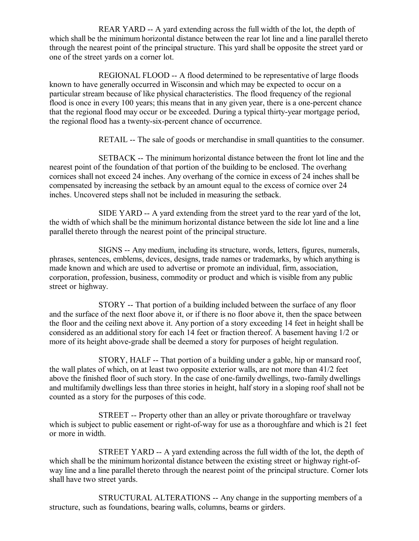REAR YARD -- A yard extending across the full width of the lot, the depth of which shall be the minimum horizontal distance between the rear lot line and a line parallel thereto through the nearest point of the principal structure. This yard shall be opposite the street yard or one of the street yards on a corner lot.

REGIONAL FLOOD -- A flood determined to be representative of large floods known to have generally occurred in Wisconsin and which may be expected to occur on a particular stream because of like physical characteristics. The flood frequency of the regional flood is once in every 100 years; this means that in any given year, there is a one-percent chance that the regional flood may occur or be exceeded. During a typical thirty-year mortgage period, the regional flood has a twenty-six-percent chance of occurrence.

RETAIL -- The sale of goods or merchandise in small quantities to the consumer.

SETBACK -- The minimum horizontal distance between the front lot line and the nearest point of the foundation of that portion of the building to be enclosed. The overhang cornices shall not exceed 24 inches. Any overhang of the cornice in excess of 24 inches shall be compensated by increasing the setback by an amount equal to the excess of cornice over 24 inches. Uncovered steps shall not be included in measuring the setback.

SIDE YARD -- A yard extending from the street yard to the rear yard of the lot, the width of which shall be the minimum horizontal distance between the side lot line and a line parallel thereto through the nearest point of the principal structure.

SIGNS -- Any medium, including its structure, words, letters, figures, numerals, phrases, sentences, emblems, devices, designs, trade names or trademarks, by which anything is made known and which are used to advertise or promote an individual, firm, association, corporation, profession, business, commodity or product and which is visible from any public street or highway.

STORY -- That portion of a building included between the surface of any floor and the surface of the next floor above it, or if there is no floor above it, then the space between the floor and the ceiling next above it. Any portion of a story exceeding 14 feet in height shall be considered as an additional story for each 14 feet or fraction thereof. A basement having 1/2 or more of its height above-grade shall be deemed a story for purposes of height regulation.

STORY, HALF -- That portion of a building under a gable, hip or mansard roof, the wall plates of which, on at least two opposite exterior walls, are not more than 41/2 feet above the finished floor of such story. In the case of one-family dwellings, two-family dwellings and multifamily dwellings less than three stories in height, half story in a sloping roof shall not be counted as a story for the purposes of this code.

STREET -- Property other than an alley or private thoroughfare or travelway which is subject to public easement or right-of-way for use as a thoroughfare and which is 21 feet or more in width.

STREET YARD -- A yard extending across the full width of the lot, the depth of which shall be the minimum horizontal distance between the existing street or highway right-ofway line and a line parallel thereto through the nearest point of the principal structure. Corner lots shall have two street yards.

STRUCTURAL ALTERATIONS -- Any change in the supporting members of a structure, such as foundations, bearing walls, columns, beams or girders.